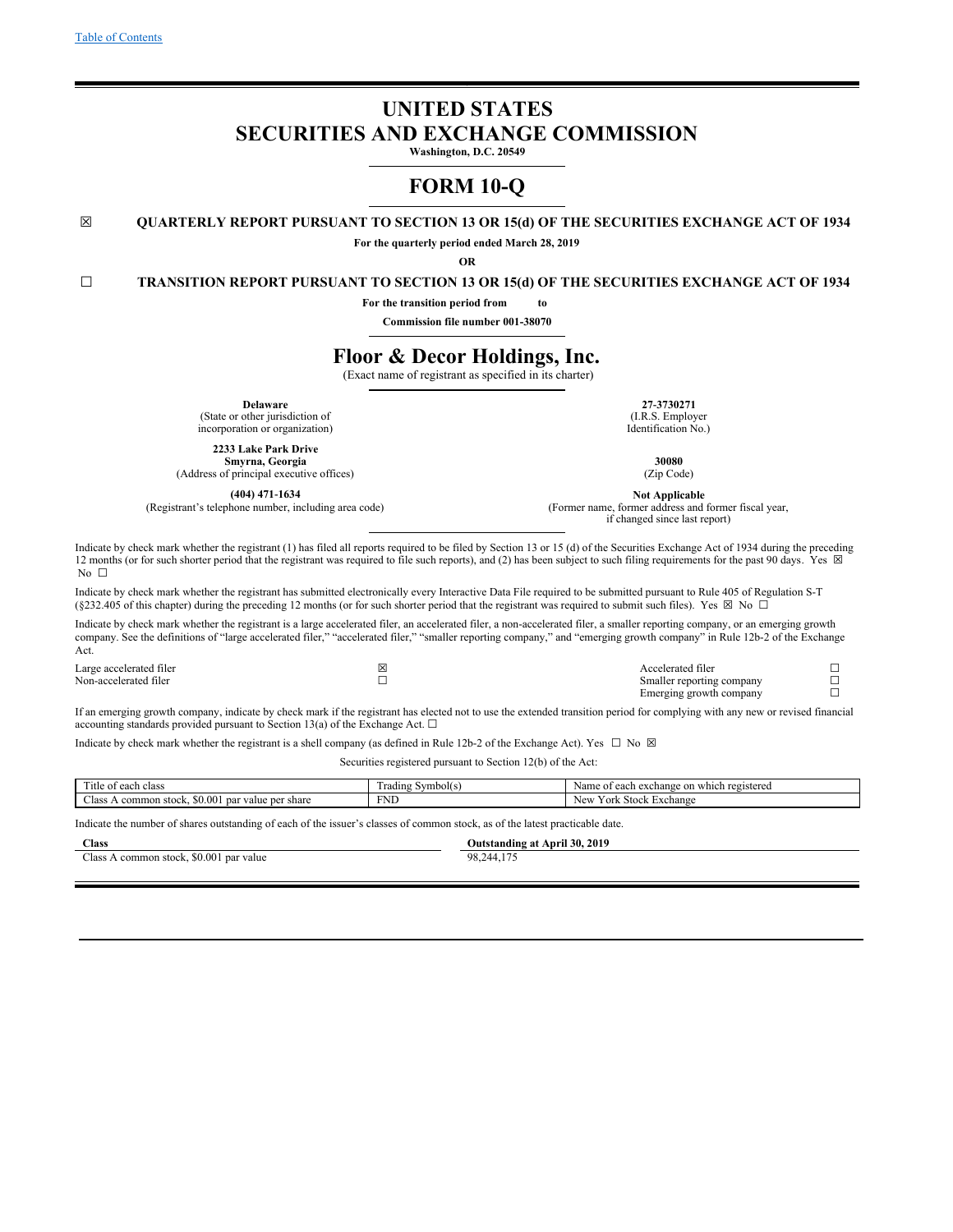# **UNITED STATES SECURITIES AND EXCHANGE COMMISSION**

**Washington, D.C. 20549**

# **FORM 10-Q**

## **☒ QUARTERLY REPORT PURSUANT TO SECTION 13 OR 15(d) OF THE SECURITIES EXCHANGE ACT OF 1934**

**For the quarterly period ended March 28, 2019**

**OR**

## **☐ TRANSITION REPORT PURSUANT TO SECTION 13 OR 15(d) OF THE SECURITIES EXCHANGE ACT OF 1934**

**For the transition period from to**

**Commission file number 001-38070**

# **Floor & Decor Holdings, Inc.**

(Exact name of registrant as specified in its charter)

**Delaware 27‑3730271** (State or other jurisdiction of (I.R.S. Employer) (I.R.S. Employer) (I.R.S. Employer) (I.R.S. Employer) incorporation or organization)

**2233 Lake Park Drive**

**Smyrna, Georgia 30080**<br> **Smyrna, Georgia 30080**<br> **Smyrna, Georgia** (Zip Code) (21p Code) (Address of principal executive offices)

**(404) 471-1634 Not Applicable**<br>(Registrant's telephone number, including area code) **1916** (Former name, former address and

(Former name, former address and former fiscal year, if changed since last report)

> Smaller reporting company Emerging growth company

☐  $\Box$ 

Indicate by check mark whether the registrant (1) has filed all reports required to be filed by Section 13 or 15 (d) of the Securities Exchange Act of 1934 during the preceding 12 months (or for such shorter period that the registrant was required to file such reports), and (2) has been subject to such filing requirements for the past 90 days. Yes  $\boxtimes$ No □

Indicate by check mark whether the registrant has submitted electronically every Interactive Data File required to be submitted pursuant to Rule 405 of Regulation S-T (§232.405 of this chapter) during the preceding 12 months (or for such shorter period that the registrant was required to submit such files). Yes  $\boxtimes$  No  $\Box$ 

Indicate by check mark whether the registrant is a large accelerated filer, an accelerated filer, a non-accelerated filer, a smaller reporting company, or an emerging growth company. See the definitions of "large accelerated filer," "accelerated filer," "smaller reporting company," and "emerging growth company" in Rule 12b-2 of the Exchange Act.

Large accelerated filer ☒ Accelerated filer ☐

If an emerging growth company, indicate by check mark if the registrant has elected not to use the extended transition period for complying with any new or revised financial accounting standards provided pursuant to Section 13(a) of the Exchange Act.  $\Box$ 

Indicate by check mark whether the registrant is a shell company (as defined in Rule 12b-2 of the Exchange Act). Yes  $\Box$  No  $\boxtimes$ 

Securities registered pursuant to Section 12(b) of the Act:

| $-$<br>ritle of<br>class<br>each                               | Symbol(s)<br>rading. | which registered<br>∶each exchange on ∪<br>Name<br>$^{\rm o1}$ |
|----------------------------------------------------------------|----------------------|----------------------------------------------------------------|
| $\sim$<br>0.00<br>value per<br>share<br>common stock. *<br>par | <b>FNL</b>           | ′ork<br>. Stock Exchange<br><b>New</b>                         |

Indicate the number of shares outstanding of each of the issuer's classes of common stock, as of the latest practicable date.

| <b>Class</b>                            | Outstanding at April 30, 2019 |
|-----------------------------------------|-------------------------------|
| Class A common stock, \$0.001 par value | 98,244,175                    |
|                                         |                               |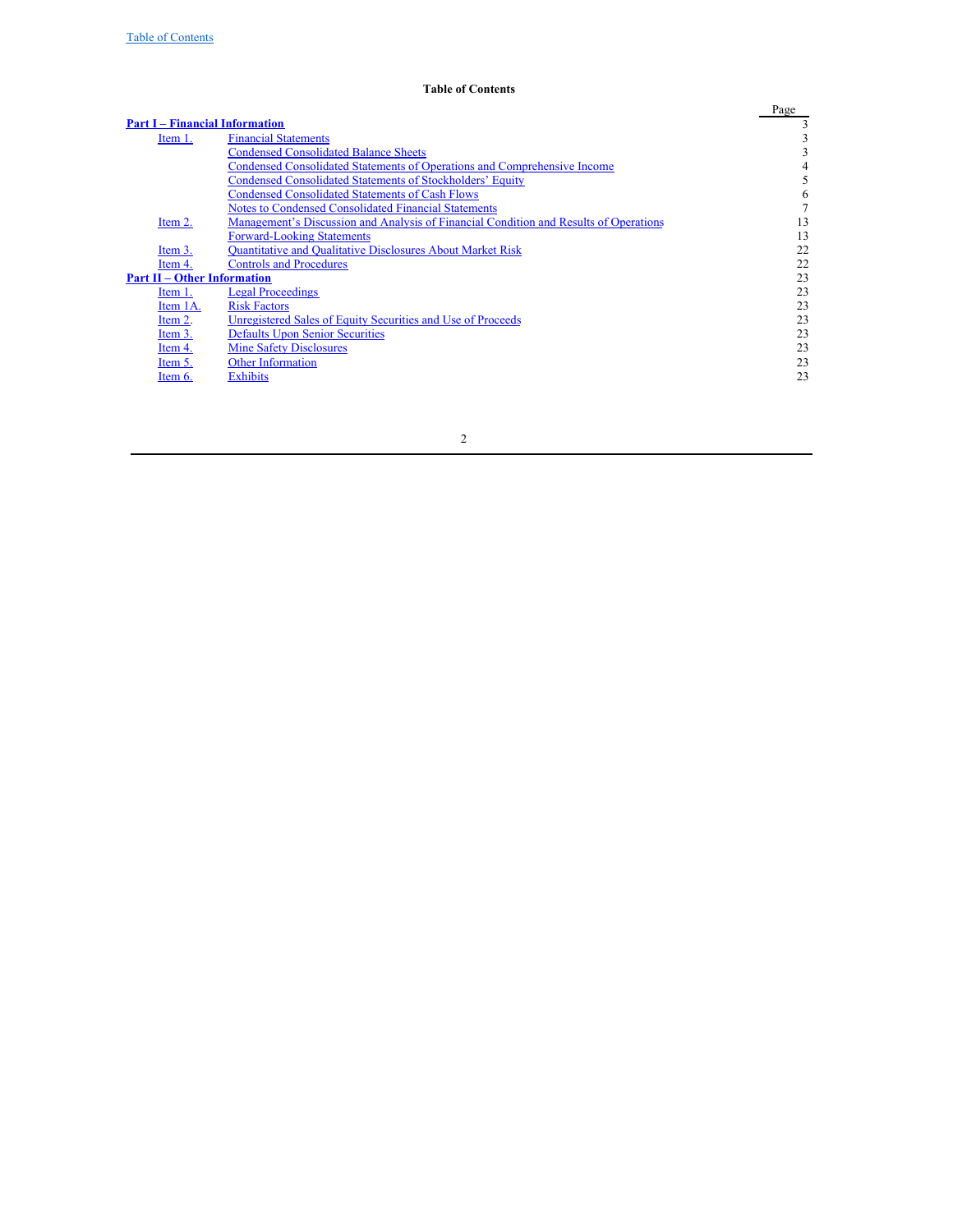## <span id="page-1-0"></span>**Table of Contents**

|                                       |                                                                                       | Page |
|---------------------------------------|---------------------------------------------------------------------------------------|------|
| <b>Part I – Financial Information</b> |                                                                                       |      |
| Item 1.                               | <b>Financial Statements</b>                                                           | 3    |
|                                       | <b>Condensed Consolidated Balance Sheets</b>                                          | 3    |
|                                       | <b>Condensed Consolidated Statements of Operations and Comprehensive Income</b>       | 4    |
|                                       | <b>Condensed Consolidated Statements of Stockholders' Equity</b>                      | 5    |
|                                       | <b>Condensed Consolidated Statements of Cash Flows</b>                                | 6    |
|                                       | Notes to Condensed Consolidated Financial Statements                                  |      |
| Item 2.                               | Management's Discussion and Analysis of Financial Condition and Results of Operations | 13   |
|                                       | <b>Forward-Looking Statements</b>                                                     | 13   |
| Item 3.                               | <b>Quantitative and Qualitative Disclosures About Market Risk</b>                     | 22   |
| Item 4.                               | <b>Controls and Procedures</b>                                                        | 22   |
| <b>Part II – Other Information</b>    |                                                                                       | 23   |
| Item 1.                               | <b>Legal Proceedings</b>                                                              | 23   |
| Item 1A.                              | <b>Risk Factors</b>                                                                   | 23   |
| Item 2.                               | Unregistered Sales of Equity Securities and Use of Proceeds                           | 23   |
| Item 3.                               | <b>Defaults Upon Senior Securities</b>                                                | 23   |
| Item 4.                               | <b>Mine Safety Disclosures</b>                                                        | 23   |
| Item 5.                               | <b>Other Information</b>                                                              | 23   |
| Item 6.                               | <b>Exhibits</b>                                                                       | 23   |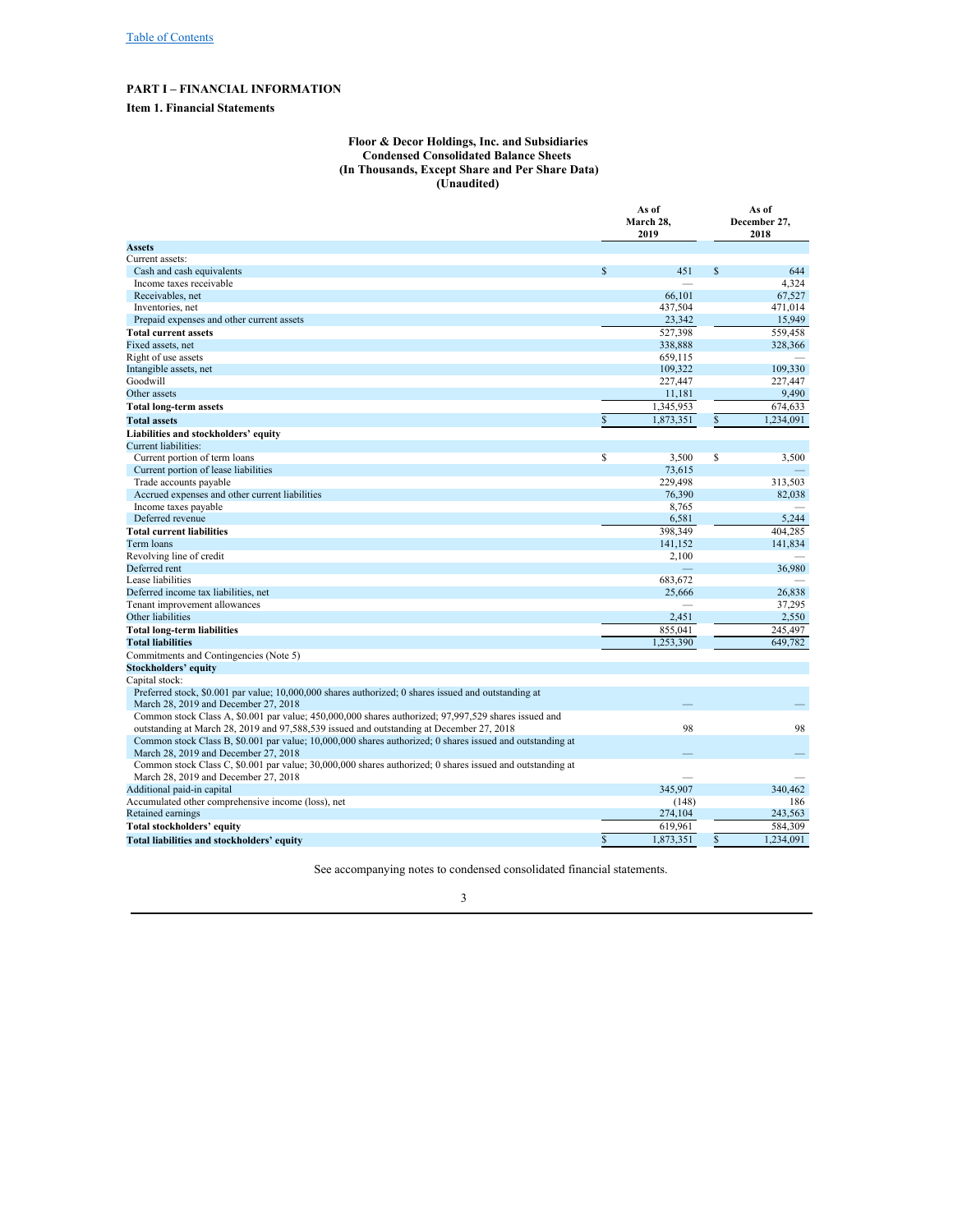# **PART I – FINANCIAL INFORMATION**

## **Item 1. Financial Statements**

#### <span id="page-2-2"></span><span id="page-2-1"></span><span id="page-2-0"></span>**Floor & Decor Holdings, Inc. and Subsidiaries Condensed Consolidated Balance Sheets (In Thousands, Except Share and Per Share Data) (Unaudited)**

|                                                                                                           | As of<br>March 28,<br>2019 |           |              | As of<br>December 27,<br>2018 |
|-----------------------------------------------------------------------------------------------------------|----------------------------|-----------|--------------|-------------------------------|
| <b>Assets</b>                                                                                             |                            |           |              |                               |
| Current assets:                                                                                           |                            |           |              |                               |
| Cash and cash equivalents                                                                                 | $\mathbb{S}$               | 451       | \$           | 644                           |
| Income taxes receivable                                                                                   |                            |           |              | 4,324                         |
| Receivables, net                                                                                          |                            | 66,101    |              | 67,527                        |
| Inventories, net                                                                                          |                            | 437,504   |              | 471,014                       |
| Prepaid expenses and other current assets                                                                 |                            | 23,342    |              | 15,949                        |
| <b>Total current assets</b>                                                                               |                            | 527,398   |              | 559,458                       |
| Fixed assets, net                                                                                         |                            | 338,888   |              | 328,366                       |
| Right of use assets                                                                                       |                            | 659,115   |              |                               |
| Intangible assets, net                                                                                    |                            | 109,322   |              | 109,330                       |
| Goodwill                                                                                                  |                            | 227,447   |              | 227,447                       |
| Other assets                                                                                              |                            | 11,181    |              | 9,490                         |
| <b>Total long-term assets</b>                                                                             |                            | 1,345,953 |              | 674,633                       |
| <b>Total assets</b>                                                                                       | $\mathbb{S}$               | 1,873,351 | $\mathbb{S}$ | 1,234,091                     |
| Liabilities and stockholders' equity                                                                      |                            |           |              |                               |
| Current liabilities:                                                                                      |                            |           |              |                               |
| Current portion of term loans                                                                             | \$                         | 3,500     | S            | 3,500                         |
| Current portion of lease liabilities                                                                      |                            | 73,615    |              |                               |
| Trade accounts payable                                                                                    |                            | 229,498   |              | 313,503                       |
| Accrued expenses and other current liabilities                                                            |                            | 76,390    |              | 82,038                        |
| Income taxes payable                                                                                      |                            | 8,765     |              |                               |
| Deferred revenue                                                                                          |                            | 6,581     |              | 5,244                         |
| <b>Total current liabilities</b>                                                                          |                            | 398,349   |              | 404,285                       |
| Term loans                                                                                                |                            | 141,152   |              | 141,834                       |
| Revolving line of credit                                                                                  |                            | 2,100     |              |                               |
| Deferred rent                                                                                             |                            |           |              | 36,980                        |
| Lease liabilities                                                                                         |                            | 683,672   |              |                               |
| Deferred income tax liabilities, net                                                                      |                            | 25,666    |              | 26,838                        |
| Tenant improvement allowances                                                                             |                            |           |              | 37,295                        |
| Other liabilities                                                                                         |                            | 2,451     |              | 2,550                         |
| <b>Total long-term liabilities</b>                                                                        |                            | 855,041   |              | 245,497                       |
| <b>Total liabilities</b>                                                                                  |                            | 1,253,390 |              | 649,782                       |
| Commitments and Contingencies (Note 5)                                                                    |                            |           |              |                               |
| <b>Stockholders' equity</b>                                                                               |                            |           |              |                               |
| Capital stock:                                                                                            |                            |           |              |                               |
| Preferred stock, \$0.001 par value; 10,000,000 shares authorized; 0 shares issued and outstanding at      |                            |           |              |                               |
| March 28, 2019 and December 27, 2018                                                                      |                            |           |              |                               |
| Common stock Class A, \$0.001 par value; 450,000,000 shares authorized; 97,997,529 shares issued and      |                            |           |              |                               |
| outstanding at March 28, 2019 and 97,588,539 issued and outstanding at December 27, 2018                  |                            | 98        |              | 98                            |
| Common stock Class B, \$0.001 par value; 10,000,000 shares authorized; 0 shares issued and outstanding at |                            |           |              |                               |
| March 28, 2019 and December 27, 2018                                                                      |                            |           |              |                               |
| Common stock Class C, \$0.001 par value; 30,000,000 shares authorized; 0 shares issued and outstanding at |                            |           |              |                               |
| March 28, 2019 and December 27, 2018                                                                      |                            |           |              |                               |
| Additional paid-in capital                                                                                |                            | 345,907   |              | 340,462                       |
| Accumulated other comprehensive income (loss), net                                                        |                            | (148)     |              | 186                           |
| Retained earnings                                                                                         |                            | 274,104   |              | 243,563                       |
| Total stockholders' equity                                                                                |                            | 619,961   |              | 584,309                       |
| Total liabilities and stockholders' equity                                                                | \$                         | 1,873,351 | \$           | 1,234,091                     |

See accompanying notes to condensed consolidated financial statements.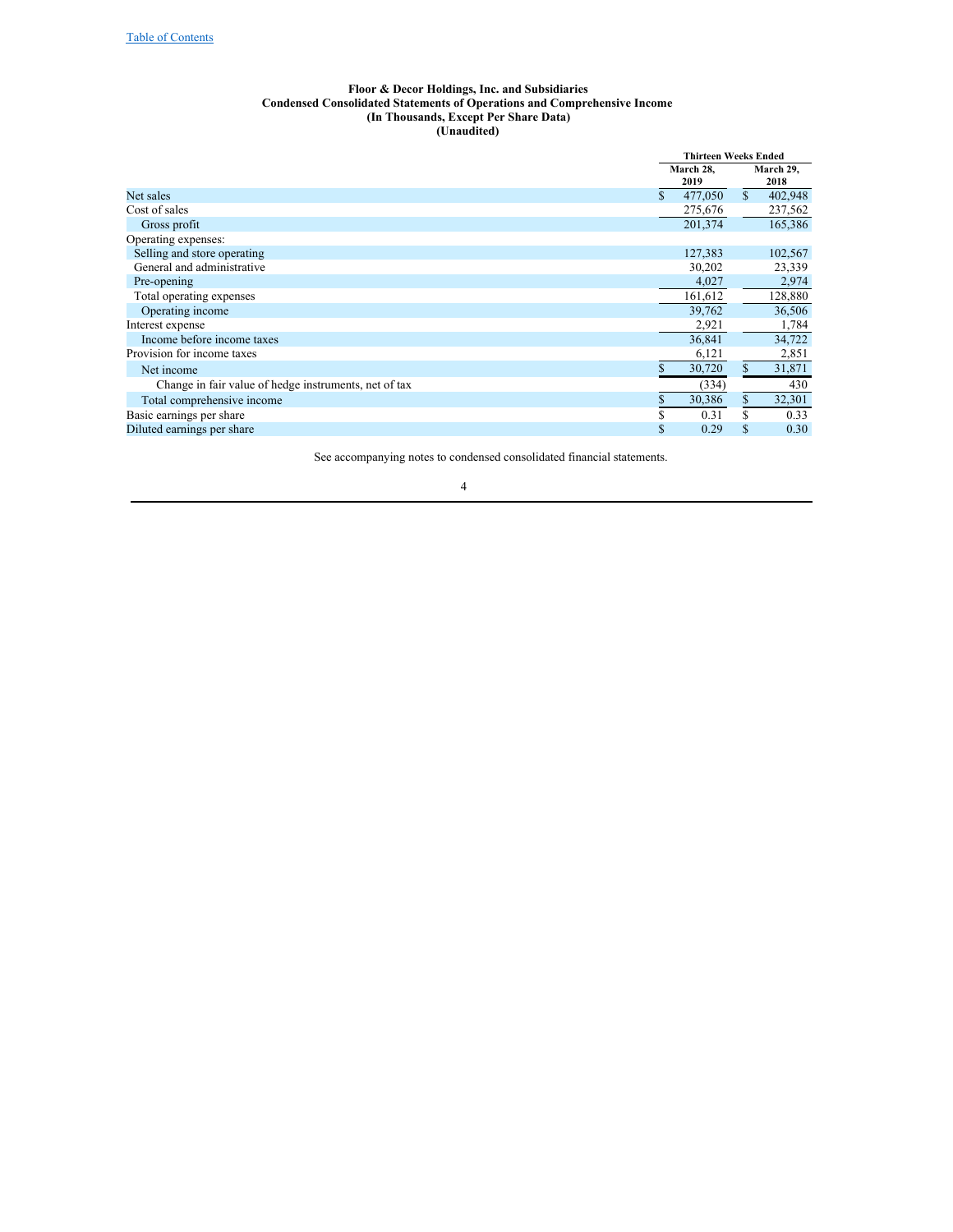#### <span id="page-3-0"></span>**Floor & Decor Holdings, Inc. and Subsidiaries Condensed Consolidated Statements of Operations and Comprehensive Income (In Thousands, Except Per Share Data) (Unaudited)**

|                                                       |    | <b>Thirteen Weeks Ended</b> |              |                   |  |
|-------------------------------------------------------|----|-----------------------------|--------------|-------------------|--|
|                                                       |    | March 28,<br>2019           |              | March 29,<br>2018 |  |
| Net sales                                             | \$ | 477,050                     | $\mathbb{S}$ | 402,948           |  |
| Cost of sales                                         |    | 275,676                     |              | 237,562           |  |
| Gross profit                                          |    | 201,374                     |              | 165,386           |  |
| Operating expenses:                                   |    |                             |              |                   |  |
| Selling and store operating                           |    | 127,383                     |              | 102,567           |  |
| General and administrative                            |    | 30,202                      |              | 23,339            |  |
| Pre-opening                                           |    | 4,027                       |              | 2,974             |  |
| Total operating expenses                              |    | 161,612                     |              | 128,880           |  |
| Operating income                                      |    | 39,762                      |              | 36,506            |  |
| Interest expense                                      |    | 2,921                       |              | 1,784             |  |
| Income before income taxes                            |    | 36,841                      |              | 34,722            |  |
| Provision for income taxes                            |    | 6,121                       |              | 2,851             |  |
| Net income                                            | \$ | 30,720                      | \$           | 31,871            |  |
| Change in fair value of hedge instruments, net of tax |    | (334)                       |              | 430               |  |
| Total comprehensive income                            | S  | 30,386                      | \$           | 32,301            |  |
| Basic earnings per share                              | S  | 0.31                        | S            | 0.33              |  |
| Diluted earnings per share                            | \$ | 0.29                        | \$           | 0.30              |  |
|                                                       |    |                             |              |                   |  |

See accompanying notes to condensed consolidated financial statements.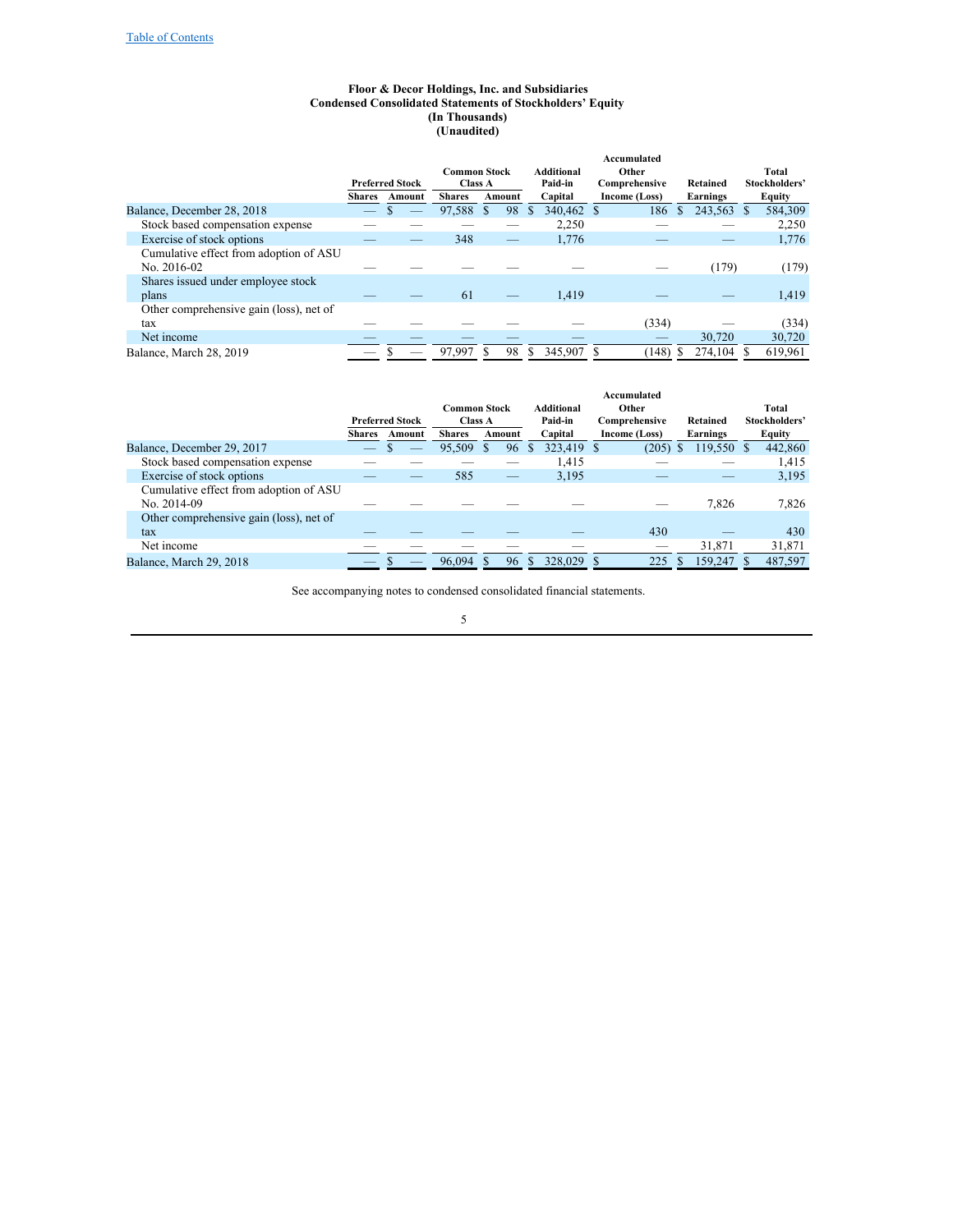#### <span id="page-4-0"></span>**Floor & Decor Holdings, Inc. and Subsidiaries Condensed Consolidated Statements of Stockholders' Equity (In Thousands) (Unaudited)**

|                                         |                          |                        |                     |         |   |                   | Accumulated   |               |                         |
|-----------------------------------------|--------------------------|------------------------|---------------------|---------|---|-------------------|---------------|---------------|-------------------------|
|                                         |                          |                        | <b>Common Stock</b> |         |   | <b>Additional</b> | Other         |               | Total                   |
|                                         |                          | <b>Preferred Stock</b> | <b>Class A</b>      |         |   | Paid-in           | Comprehensive | Retained      | Stockholders'           |
|                                         | <b>Shares</b>            | Amount                 | <b>Shares</b>       | Amount  |   | Capital           | Income (Loss) | Earnings      | Equity                  |
| Balance, December 28, 2018              | $\overline{\phantom{a}}$ |                        | 97.588              | S<br>98 | S | 340,462 \$        | 186           | 243,563<br>S. | 584.309<br><sup>S</sup> |
| Stock based compensation expense        |                          |                        |                     |         |   | 2.250             |               |               | 2,250                   |
| Exercise of stock options               |                          |                        | 348                 | _       |   | 1,776             |               |               | 1,776                   |
| Cumulative effect from adoption of ASU  |                          |                        |                     |         |   |                   |               |               |                         |
| No. 2016-02                             |                          |                        |                     |         |   |                   |               | (179)         | (179)                   |
| Shares issued under employee stock      |                          |                        |                     |         |   |                   |               |               |                         |
| plans                                   |                          |                        | 61                  |         |   | 1.419             |               |               | 1,419                   |
| Other comprehensive gain (loss), net of |                          |                        |                     |         |   |                   |               |               |                         |
| tax                                     |                          |                        |                     |         |   |                   | (334)         |               | (334)                   |
| Net income                              |                          |                        |                     |         |   |                   |               | 30,720        | 30,720                  |
| Balance, March 28, 2019                 |                          |                        | 97.997              | 98      | S | 345,907           | (148)         | 274.104       | 619,961                 |

|                                         |               |                        | <b>Common Stock</b> |              |    | Additional | Accumulated<br>Other |              |            | Total         |
|-----------------------------------------|---------------|------------------------|---------------------|--------------|----|------------|----------------------|--------------|------------|---------------|
|                                         |               | <b>Preferred Stock</b> | <b>Class A</b>      |              |    | Paid-in    | Comprehensive        |              | Retained   | Stockholders' |
|                                         | <b>Shares</b> | Amount                 | <b>Shares</b>       | Amount       |    | Capital    | Income (Loss)        |              | Earnings   | Equity        |
| Balance, December 29, 2017              |               |                        | 95,509              | <sup>S</sup> | 96 | 323,419    | (205)<br>- \$        | <sup>S</sup> | 119,550 \$ | 442,860       |
| Stock based compensation expense        |               |                        |                     |              |    | 1.415      |                      |              |            | 1,415         |
| Exercise of stock options               |               |                        | 585                 |              | -  | 3.195      |                      |              |            | 3,195         |
| Cumulative effect from adoption of ASU  |               |                        |                     |              |    |            |                      |              |            |               |
| No. 2014-09                             |               |                        |                     |              |    |            |                      |              | 7,826      | 7,826         |
| Other comprehensive gain (loss), net of |               |                        |                     |              |    |            |                      |              |            |               |
| tax                                     |               |                        |                     |              |    |            | 430                  |              |            | 430           |
| Net income                              |               |                        |                     |              |    |            | __                   |              | 31,871     | 31,871        |
| Balance, March 29, 2018                 | _             |                        | 96,094              |              | 96 | 328,029    | 225                  |              | 159,247    | 487,597       |

See accompanying notes to condensed consolidated financial statements.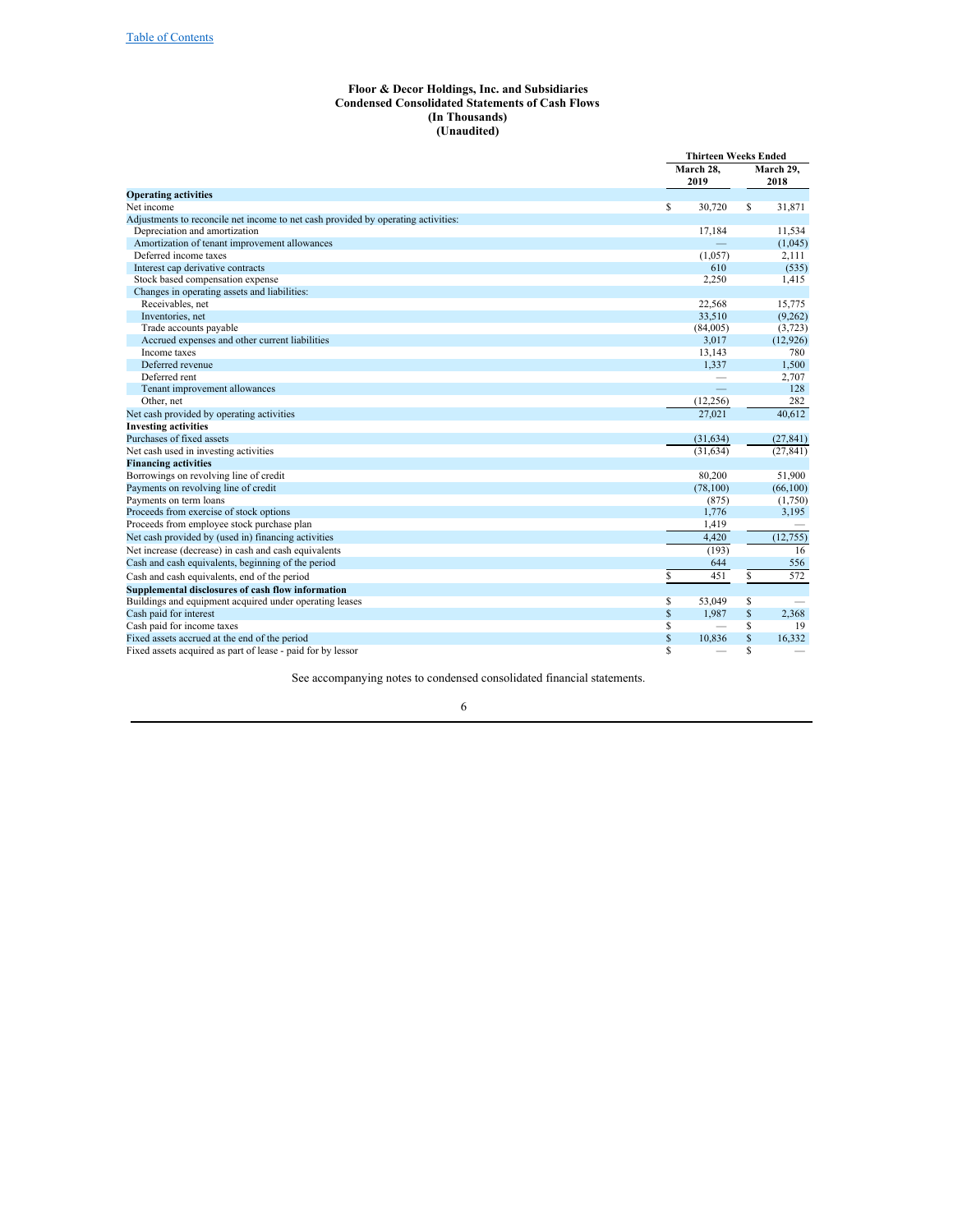#### <span id="page-5-0"></span>**Floor & Decor Holdings, Inc. and Subsidiaries Condensed Consolidated Statements of Cash Flows (In Thousands) (Unaudited)**

|                                                                                   |             | <b>Thirteen Weeks Ended</b> |    |           |
|-----------------------------------------------------------------------------------|-------------|-----------------------------|----|-----------|
|                                                                                   |             | March 28,                   |    |           |
|                                                                                   |             | 2019                        |    | 2018      |
| <b>Operating activities</b>                                                       |             |                             |    |           |
| Net income                                                                        | \$          | 30,720                      | \$ | 31,871    |
| Adjustments to reconcile net income to net cash provided by operating activities: |             |                             |    |           |
| Depreciation and amortization                                                     |             | 17,184                      |    | 11,534    |
| Amortization of tenant improvement allowances                                     |             |                             |    | (1,045)   |
| Deferred income taxes                                                             |             | (1,057)                     |    | 2,111     |
| Interest cap derivative contracts                                                 |             | 610                         |    | (535)     |
| Stock based compensation expense                                                  |             | 2,250                       |    | 1,415     |
| Changes in operating assets and liabilities:                                      |             |                             |    |           |
| Receivables, net                                                                  |             | 22.568                      |    | 15,775    |
| Inventories, net                                                                  |             | 33,510                      |    | (9,262)   |
| Trade accounts payable                                                            |             | (84,005)                    |    | (3,723)   |
| Accrued expenses and other current liabilities                                    |             | 3,017                       |    | (12, 926) |
| Income taxes                                                                      |             | 13,143                      |    | 780       |
| Deferred revenue                                                                  |             | 1.337                       |    | 1,500     |
| Deferred rent                                                                     |             |                             |    | 2,707     |
| Tenant improvement allowances                                                     |             |                             |    | 128       |
| Other, net                                                                        |             | (12, 256)                   |    | 282       |
| Net cash provided by operating activities                                         |             | 27.021                      |    | 40.612    |
| <b>Investing activities</b>                                                       |             |                             |    |           |
| Purchases of fixed assets                                                         |             | (31, 634)                   |    | (27, 841) |
| Net cash used in investing activities                                             |             | (31, 634)                   |    | (27, 841) |
| <b>Financing activities</b>                                                       |             |                             |    |           |
| Borrowings on revolving line of credit                                            |             | 80,200                      |    | 51,900    |
| Payments on revolving line of credit                                              |             | (78, 100)                   |    | (66, 100) |
| Payments on term loans                                                            |             | (875)                       |    | (1,750)   |
| Proceeds from exercise of stock options                                           |             | 1,776                       |    | 3,195     |
| Proceeds from employee stock purchase plan                                        |             | 1,419                       |    |           |
| Net cash provided by (used in) financing activities                               |             | 4,420                       |    | (12, 755) |
| Net increase (decrease) in cash and cash equivalents                              |             | (193)                       |    | 16        |
| Cash and cash equivalents, beginning of the period                                |             | 644                         |    | 556       |
| Cash and cash equivalents, end of the period                                      | S           | 451                         | \$ | 572       |
| Supplemental disclosures of cash flow information                                 |             |                             |    |           |
| Buildings and equipment acquired under operating leases                           | \$          | 53.049                      | \$ |           |
| Cash paid for interest                                                            | $\mathbf S$ | 1.987                       | \$ | 2,368     |
| Cash paid for income taxes                                                        | \$          |                             | \$ | 19        |
| Fixed assets accrued at the end of the period                                     | \$          | 10,836                      | \$ | 16,332    |
| Fixed assets acquired as part of lease - paid for by lessor                       | S           |                             | S  |           |

See accompanying notes to condensed consolidated financial statements.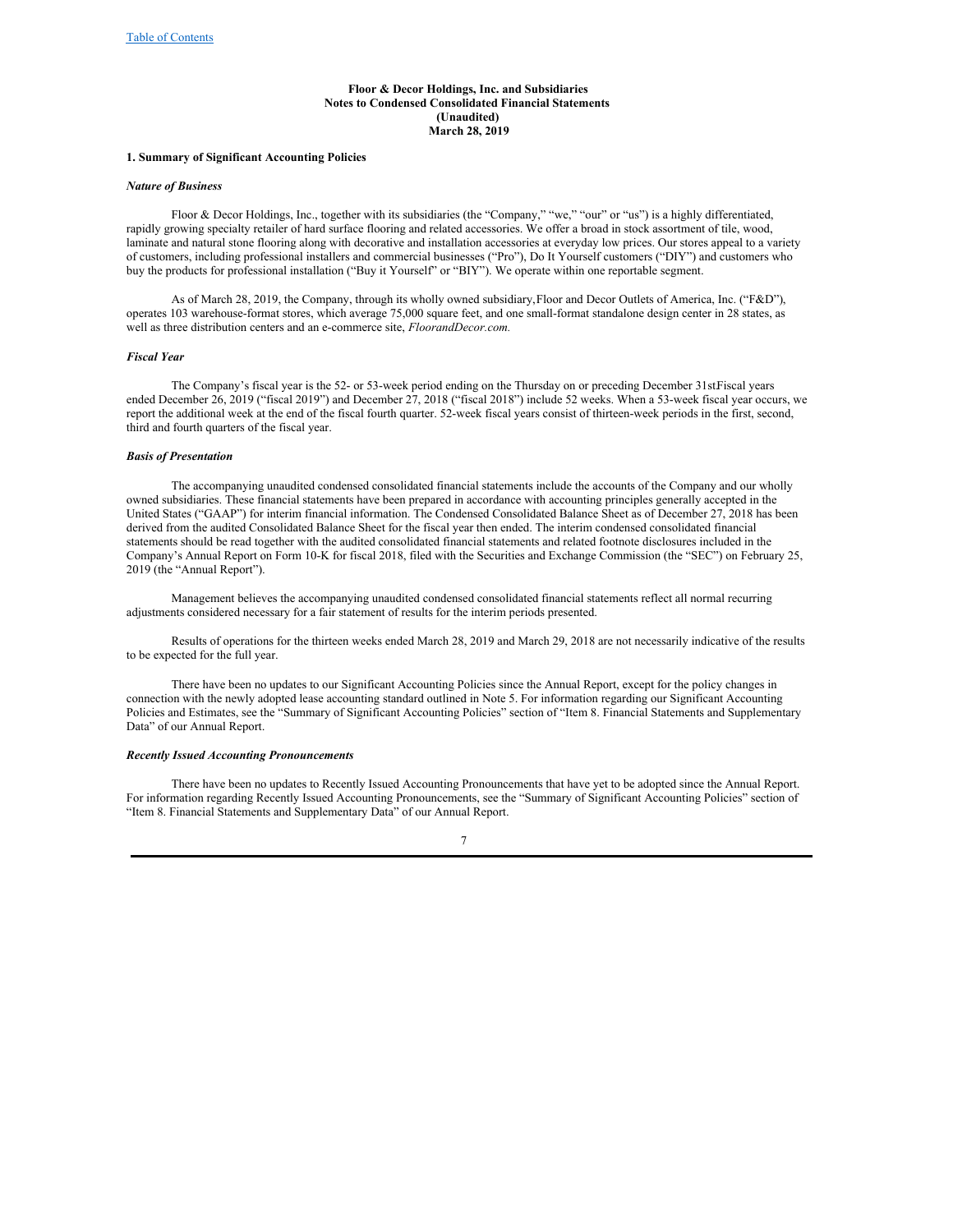#### <span id="page-6-0"></span>**Floor & Decor Holdings, Inc. and Subsidiaries Notes to Condensed Consolidated Financial Statements (Unaudited) March 28, 2019**

#### **1. Summary of Significant Accounting Policies**

#### *Nature of Business*

Floor & Decor Holdings, Inc., together with its subsidiaries (the "Company," "we," "our" or "us") is a highly differentiated, rapidly growing specialty retailer of hard surface flooring and related accessories. We offer a broad in stock assortment of tile, wood, laminate and natural stone flooring along with decorative and installation accessories at everyday low prices. Our stores appeal to a variety of customers, including professional installers and commercial businesses ("Pro"), Do It Yourself customers ("DIY") and customers who buy the products for professional installation ("Buy it Yourself" or "BIY"). We operate within one reportable segment.

As of March 28, 2019, the Company, through its wholly owned subsidiary,Floor and Decor Outlets of America, Inc. ("F&D"), operates 103 warehouse-format stores, which average 75,000 square feet, and one small-format standalone design center in 28 states, as well as three distribution centers and an e-commerce site, *FloorandDecor.com.*

#### *Fiscal Year*

The Company's fiscal year is the 52- or 53-week period ending on the Thursday on or preceding December 31st.Fiscal years ended December 26, 2019 ("fiscal 2019") and December 27, 2018 ("fiscal 2018") include 52 weeks. When a 53-week fiscal year occurs, we report the additional week at the end of the fiscal fourth quarter. 52-week fiscal years consist of thirteen-week periods in the first, second, third and fourth quarters of the fiscal year.

#### *Basis of Presentation*

The accompanying unaudited condensed consolidated financial statements include the accounts of the Company and our wholly owned subsidiaries. These financial statements have been prepared in accordance with accounting principles generally accepted in the United States ("GAAP") for interim financial information. The Condensed Consolidated Balance Sheet as of December 27, 2018 has been derived from the audited Consolidated Balance Sheet for the fiscal year then ended. The interim condensed consolidated financial statements should be read together with the audited consolidated financial statements and related footnote disclosures included in the Company's Annual Report on Form 10-K for fiscal 2018, filed with the Securities and Exchange Commission (the "SEC") on February 25, 2019 (the "Annual Report").

Management believes the accompanying unaudited condensed consolidated financial statements reflect all normal recurring adjustments considered necessary for a fair statement of results for the interim periods presented.

Results of operations for the thirteen weeks ended March 28, 2019 and March 29, 2018 are not necessarily indicative of the results to be expected for the full year.

There have been no updates to our Significant Accounting Policies since the Annual Report, except for the policy changes in connection with the newly adopted lease accounting standard outlined in Note 5. For information regarding our Significant Accounting Policies and Estimates, see the "Summary of Significant Accounting Policies" section of "Item 8. Financial Statements and Supplementary Data" of our Annual Report.

#### *Recently Issued Accounting Pronouncements*

There have been no updates to Recently Issued Accounting Pronouncements that have yet to be adopted since the Annual Report. For information regarding Recently Issued Accounting Pronouncements, see the "Summary of Significant Accounting Policies" section of "Item 8. Financial Statements and Supplementary Data" of our Annual Report.

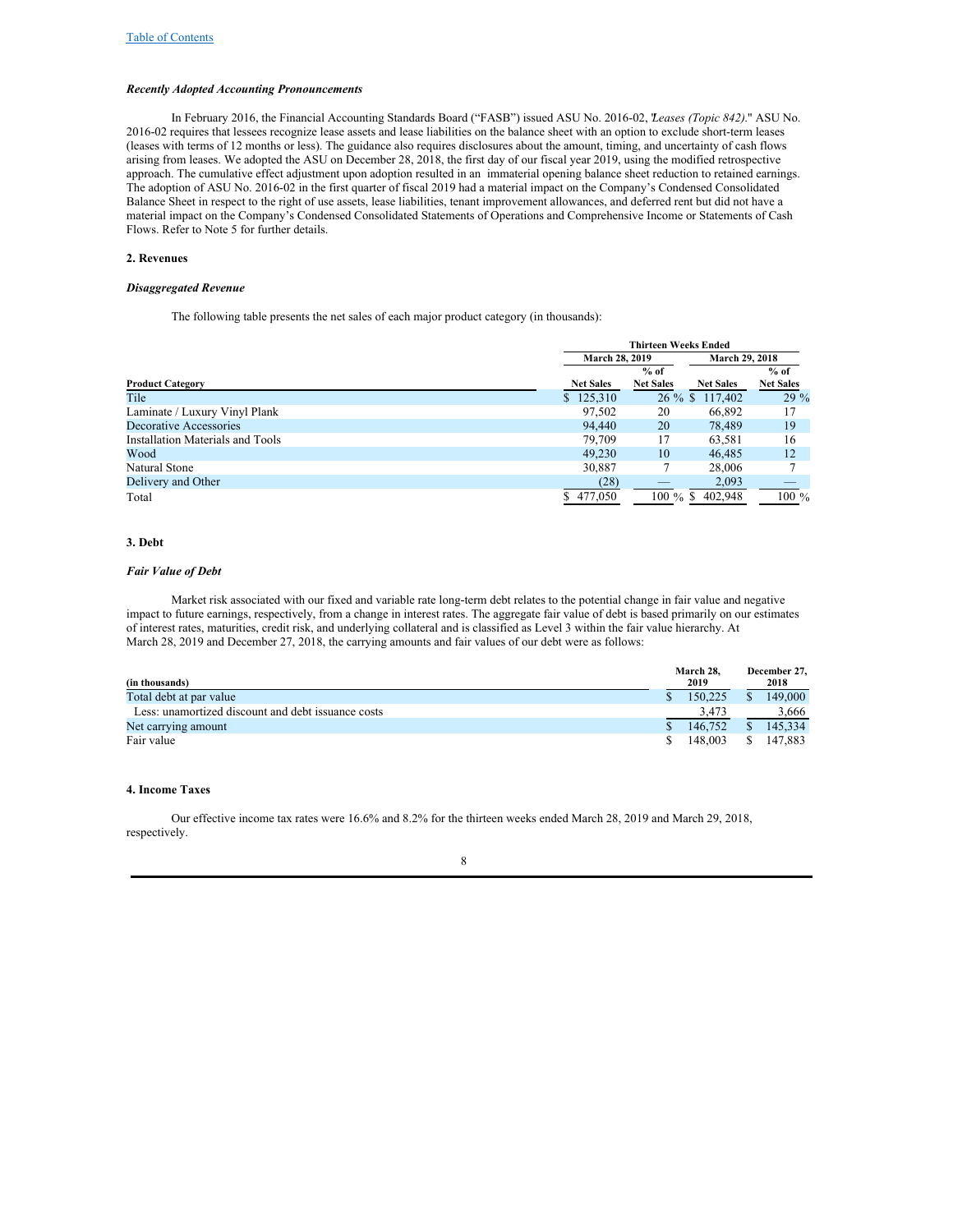#### *Recently Adopted Accounting Pronouncements*

In February 2016, the Financial Accounting Standards Board ("FASB") issued ASU No. 2016-02, "*Leases (Topic 842)*." ASU No. 2016-02 requires that lessees recognize lease assets and lease liabilities on the balance sheet with an option to exclude short-term leases (leases with terms of 12 months or less). The guidance also requires disclosures about the amount, timing, and uncertainty of cash flows arising from leases. We adopted the ASU on December 28, 2018, the first day of our fiscal year 2019, using the modified retrospective approach. The cumulative effect adjustment upon adoption resulted in an immaterial opening balance sheet reduction to retained earnings. The adoption of ASU No. 2016-02 in the first quarter of fiscal 2019 had a material impact on the Company's Condensed Consolidated Balance Sheet in respect to the right of use assets, lease liabilities, tenant improvement allowances, and deferred rent but did not have a material impact on the Company's Condensed Consolidated Statements of Operations and Comprehensive Income or Statements of Cash Flows. Refer to Note 5 for further details.

#### **2. Revenues**

#### *Disaggregated Revenue*

The following table presents the net sales of each major product category (in thousands):

|                                  |                  | <b>Thirteen Weeks Ended</b>             |                  |                  |  |  |  |
|----------------------------------|------------------|-----------------------------------------|------------------|------------------|--|--|--|
|                                  |                  | <b>March 29, 2018</b><br>March 28, 2019 |                  |                  |  |  |  |
|                                  |                  | $%$ of                                  |                  | $%$ of           |  |  |  |
| <b>Product Category</b>          | <b>Net Sales</b> | <b>Net Sales</b>                        | <b>Net Sales</b> | <b>Net Sales</b> |  |  |  |
| Tile                             | \$125,310        |                                         | 26 % \$ 117,402  | $29\%$           |  |  |  |
| Laminate / Luxury Vinyl Plank    | 97.502           | 20                                      | 66,892           | 17               |  |  |  |
| Decorative Accessories           | 94,440           | 20                                      | 78,489           | 19               |  |  |  |
| Installation Materials and Tools | 79,709           | 17                                      | 63,581           | 16               |  |  |  |
| Wood                             | 49.230           | 10                                      | 46,485           | 12               |  |  |  |
| Natural Stone                    | 30,887           |                                         | 28,006           |                  |  |  |  |
| Delivery and Other               | (28)             |                                         | 2,093            |                  |  |  |  |
| Total                            | \$477,050        | $100\%$ \$                              | 402.948          | $100\%$          |  |  |  |

#### **3. Debt**

#### *Fair Value of Debt*

Market risk associated with our fixed and variable rate long-term debt relates to the potential change in fair value and negative impact to future earnings, respectively, from a change in interest rates. The aggregate fair value of debt is based primarily on our estimates of interest rates, maturities, credit risk, and underlying collateral and is classified as Level 3 within the fair value hierarchy. At March 28, 2019 and December 27, 2018, the carrying amounts and fair values of our debt were as follows:

|                                                    | March 28. |         |              | December 27. |
|----------------------------------------------------|-----------|---------|--------------|--------------|
| (in thousands)                                     |           | 2019    |              | 2018         |
| Total debt at par value                            |           | 150,225 | \$.          | 149,000      |
| Less: unamortized discount and debt issuance costs |           | 3.473   |              | 3.666        |
| Net carrying amount                                |           | 146,752 | <sup>S</sup> | 145,334      |
| Fair value                                         |           | 148.003 | S.           | 147.883      |

### **4. Income Taxes**

Our effective income tax rates were 16.6% and 8.2% for the thirteen weeks ended March 28, 2019 and March 29, 2018, respectively.

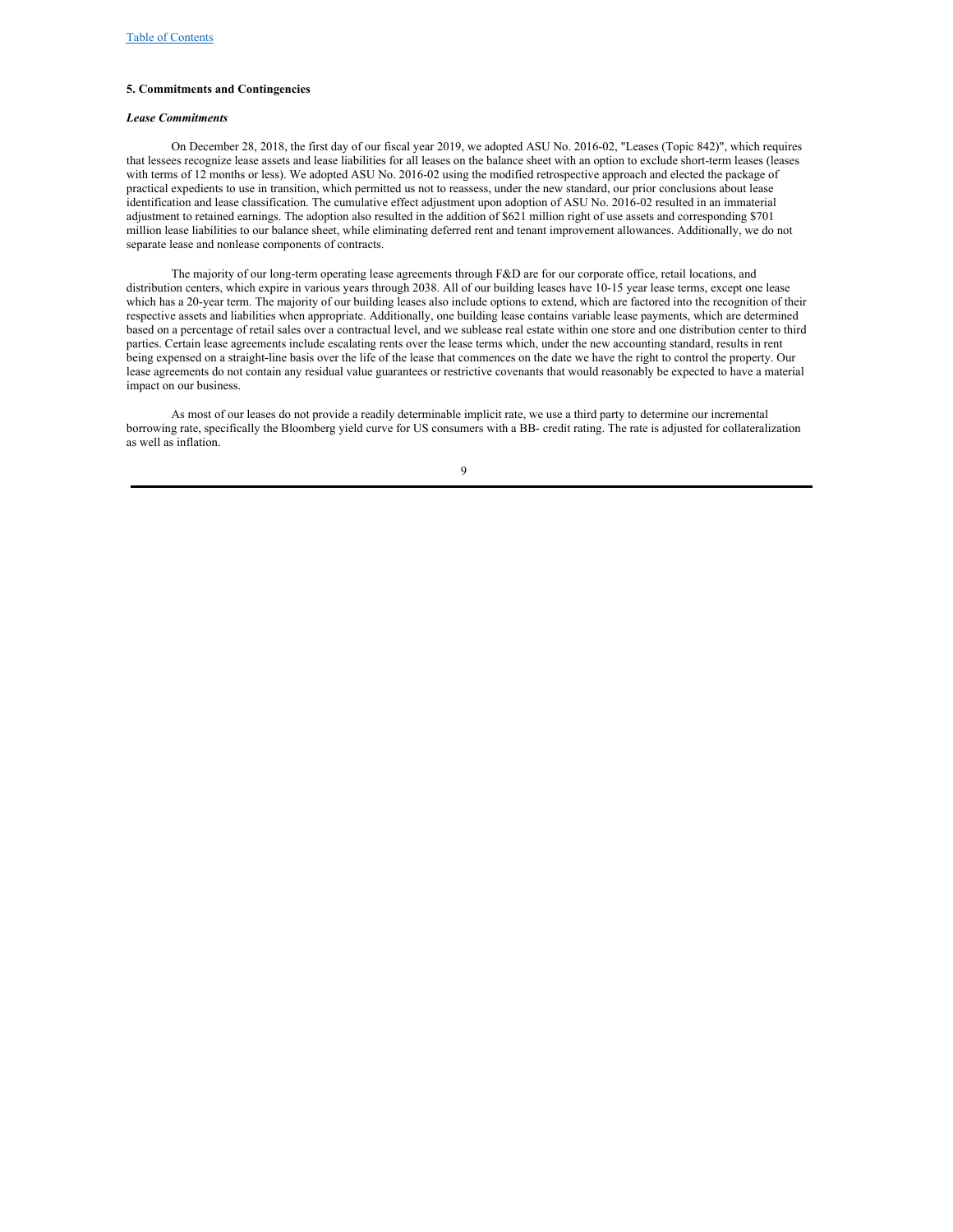#### **5. Commitments and Contingencies**

#### *Lease Commitments*

On December 28, 2018, the first day of our fiscal year 2019, we adopted ASU No. 2016-02, "Leases (Topic 842)", which requires that lessees recognize lease assets and lease liabilities for all leases on the balance sheet with an option to exclude short-term leases (leases with terms of 12 months or less). We adopted ASU No. 2016-02 using the modified retrospective approach and elected the package of practical expedients to use in transition, which permitted us not to reassess, under the new standard, our prior conclusions about lease identification and lease classification. The cumulative effect adjustment upon adoption of ASU No. 2016-02 resulted in an immaterial adjustment to retained earnings. The adoption also resulted in the addition of \$621 million right of use assets and corresponding \$701 million lease liabilities to our balance sheet, while eliminating deferred rent and tenant improvement allowances. Additionally, we do not separate lease and nonlease components of contracts.

The majority of our long-term operating lease agreements through F&D are for our corporate office, retail locations, and distribution centers, which expire in various years through 2038. All of our building leases have 10-15 year lease terms, except one lease which has a 20-year term. The majority of our building leases also include options to extend, which are factored into the recognition of their respective assets and liabilities when appropriate. Additionally, one building lease contains variable lease payments, which are determined based on a percentage of retail sales over a contractual level, and we sublease real estate within one store and one distribution center to third parties. Certain lease agreements include escalating rents over the lease terms which, under the new accounting standard, results in rent being expensed on a straight-line basis over the life of the lease that commences on the date we have the right to control the property. Our lease agreements do not contain any residual value guarantees or restrictive covenants that would reasonably be expected to have a material impact on our business.

As most of our leases do not provide a readily determinable implicit rate, we use a third party to determine our incremental borrowing rate, specifically the Bloomberg yield curve for US consumers with a BB- credit rating. The rate is adjusted for collateralization as well as inflation.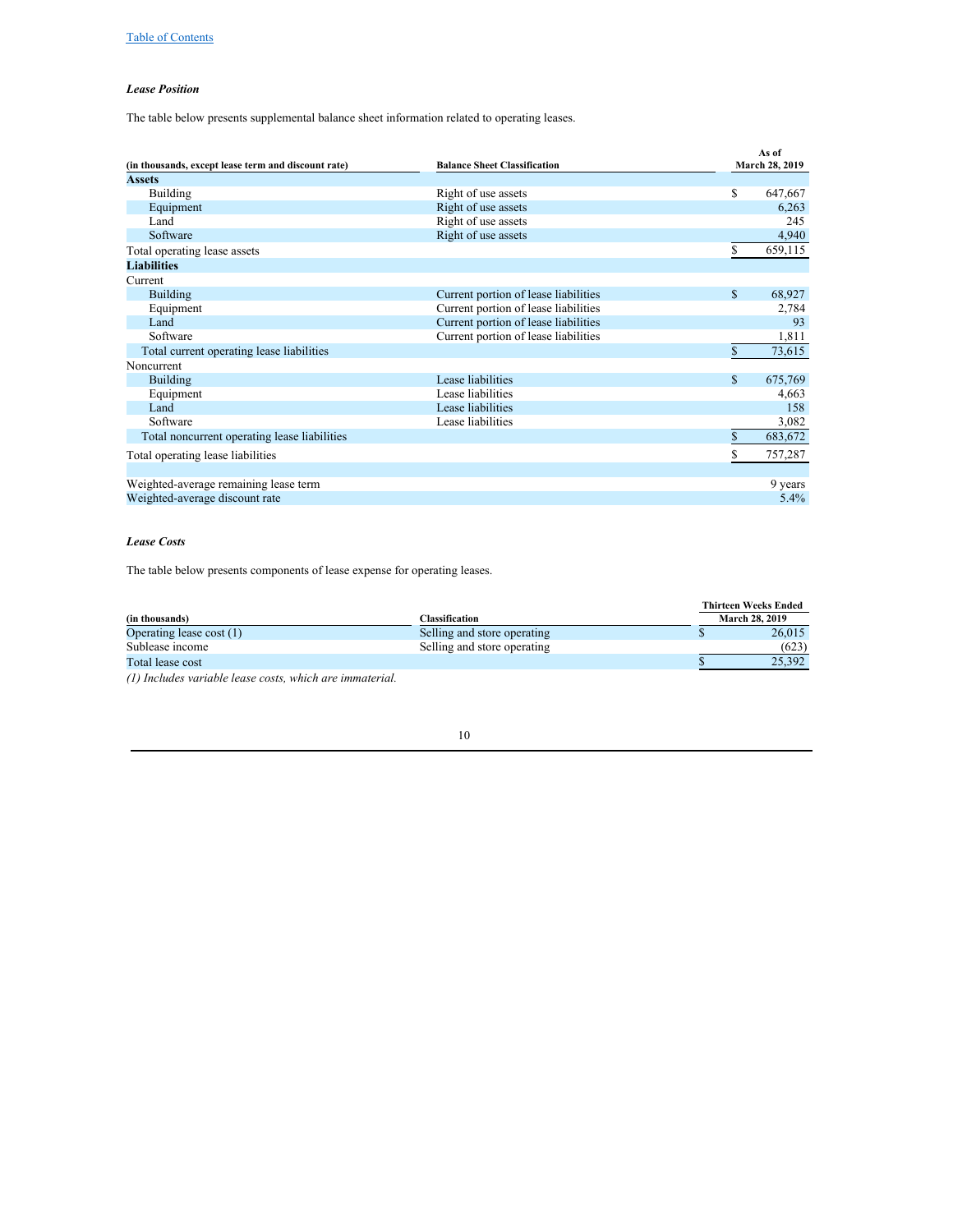## *Lease Position*

The table below presents supplemental balance sheet information related to operating leases.

|                                                     |                                      | As of        |                |  |  |
|-----------------------------------------------------|--------------------------------------|--------------|----------------|--|--|
| (in thousands, except lease term and discount rate) | <b>Balance Sheet Classification</b>  |              | March 28, 2019 |  |  |
| <b>Assets</b>                                       |                                      |              |                |  |  |
| <b>Building</b>                                     | Right of use assets                  | \$           | 647,667        |  |  |
| Equipment                                           | Right of use assets                  |              | 6,263          |  |  |
| Land                                                | Right of use assets                  |              | 245            |  |  |
| Software                                            | Right of use assets                  |              | 4,940          |  |  |
| Total operating lease assets                        |                                      | S            | 659,115        |  |  |
| <b>Liabilities</b>                                  |                                      |              |                |  |  |
| Current                                             |                                      |              |                |  |  |
| <b>Building</b>                                     | Current portion of lease liabilities | \$           | 68,927         |  |  |
| Equipment                                           | Current portion of lease liabilities |              | 2,784          |  |  |
| Land                                                | Current portion of lease liabilities |              | 93             |  |  |
| Software                                            | Current portion of lease liabilities |              | 1,811          |  |  |
| Total current operating lease liabilities           |                                      | \$           | 73,615         |  |  |
| Noncurrent                                          |                                      |              |                |  |  |
| <b>Building</b>                                     | Lease liabilities                    | $\mathbb{S}$ | 675,769        |  |  |
| Equipment                                           | Lease liabilities                    |              | 4,663          |  |  |
| Land                                                | Lease liabilities                    |              | 158            |  |  |
| Software                                            | Lease liabilities                    |              | 3,082          |  |  |
| Total noncurrent operating lease liabilities        |                                      | \$           | 683,672        |  |  |
| Total operating lease liabilities                   |                                      | S            | 757,287        |  |  |
|                                                     |                                      |              |                |  |  |
| Weighted-average remaining lease term               |                                      |              | 9 years        |  |  |
| Weighted-average discount rate                      |                                      |              | 5.4%           |  |  |

## *Lease Costs*

The table below presents components of lease expense for operating leases.

|                             | <b>Thirteen Weeks Ended</b> |                       |  |  |
|-----------------------------|-----------------------------|-----------------------|--|--|
| Classification              |                             | <b>March 28, 2019</b> |  |  |
| Selling and store operating |                             | 26,015                |  |  |
| Selling and store operating |                             | (623)                 |  |  |
|                             |                             | 25.392                |  |  |
|                             |                             |                       |  |  |

*(1) Includes variable lease costs, which are immaterial.*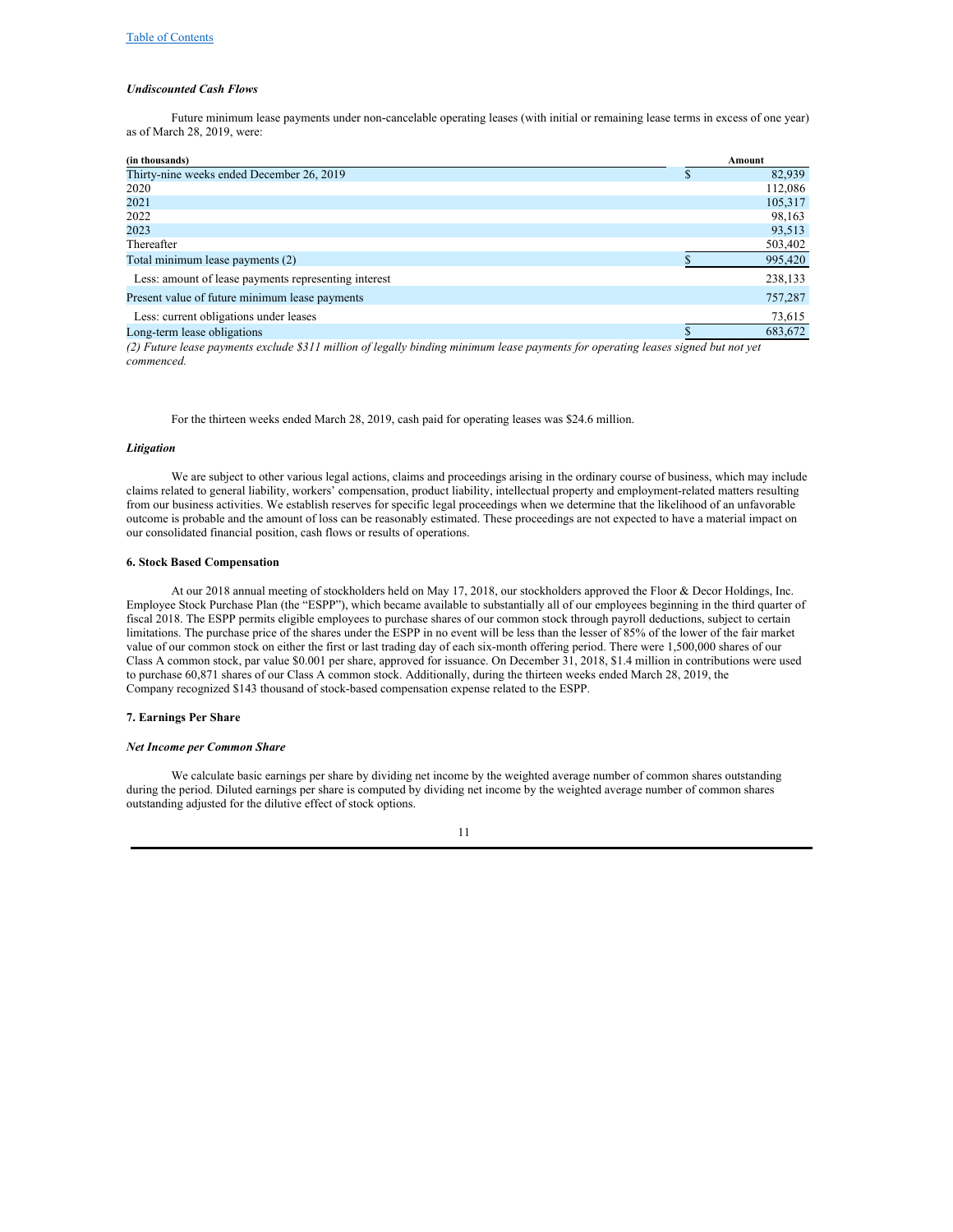#### *Undiscounted Cash Flows*

Future minimum lease payments under non-cancelable operating leases (with initial or remaining lease terms in excess of one year) as of March 28, 2019, were:

| (in thousands)                                       |   | Amount  |
|------------------------------------------------------|---|---------|
| Thirty-nine weeks ended December 26, 2019            | ъ | 82,939  |
| 2020                                                 |   | 112,086 |
| 2021                                                 |   | 105,317 |
| 2022                                                 |   | 98,163  |
| 2023                                                 |   | 93,513  |
| Thereafter                                           |   | 503,402 |
| Total minimum lease payments (2)                     |   | 995,420 |
| Less: amount of lease payments representing interest |   | 238,133 |
| Present value of future minimum lease payments       |   | 757,287 |
| Less: current obligations under leases               |   | 73,615  |
| Long-term lease obligations                          |   | 683,672 |

(2) Future lease payments exclude \$311 million of legally binding minimum lease payments for operating leases signed but not yet *commenced.*

For the thirteen weeks ended March 28, 2019, cash paid for operating leases was \$24.6 million.

#### *Litigation*

We are subject to other various legal actions, claims and proceedings arising in the ordinary course of business, which may include claims related to general liability, workers' compensation, product liability, intellectual property and employment-related matters resulting from our business activities. We establish reserves for specific legal proceedings when we determine that the likelihood of an unfavorable outcome is probable and the amount of loss can be reasonably estimated. These proceedings are not expected to have a material impact on our consolidated financial position, cash flows or results of operations.

#### **6. Stock Based Compensation**

At our 2018 annual meeting of stockholders held on May 17, 2018, our stockholders approved the Floor & Decor Holdings, Inc. Employee Stock Purchase Plan (the "ESPP"), which became available to substantially all of our employees beginning in the third quarter of fiscal 2018. The ESPP permits eligible employees to purchase shares of our common stock through payroll deductions, subject to certain limitations. The purchase price of the shares under the ESPP in no event will be less than the lesser of 85% of the lower of the fair market value of our common stock on either the first or last trading day of each six-month offering period. There were 1,500,000 shares of our Class A common stock, par value \$0.001 per share, approved for issuance. On December 31, 2018, \$1.4 million in contributions were used to purchase 60,871 shares of our Class A common stock. Additionally, during the thirteen weeks ended March 28, 2019, the Company recognized \$143 thousand of stock-based compensation expense related to the ESPP.

#### **7. Earnings Per Share**

#### *Net Income per Common Share*

We calculate basic earnings per share by dividing net income by the weighted average number of common shares outstanding during the period. Diluted earnings per share is computed by dividing net income by the weighted average number of common shares outstanding adjusted for the dilutive effect of stock options.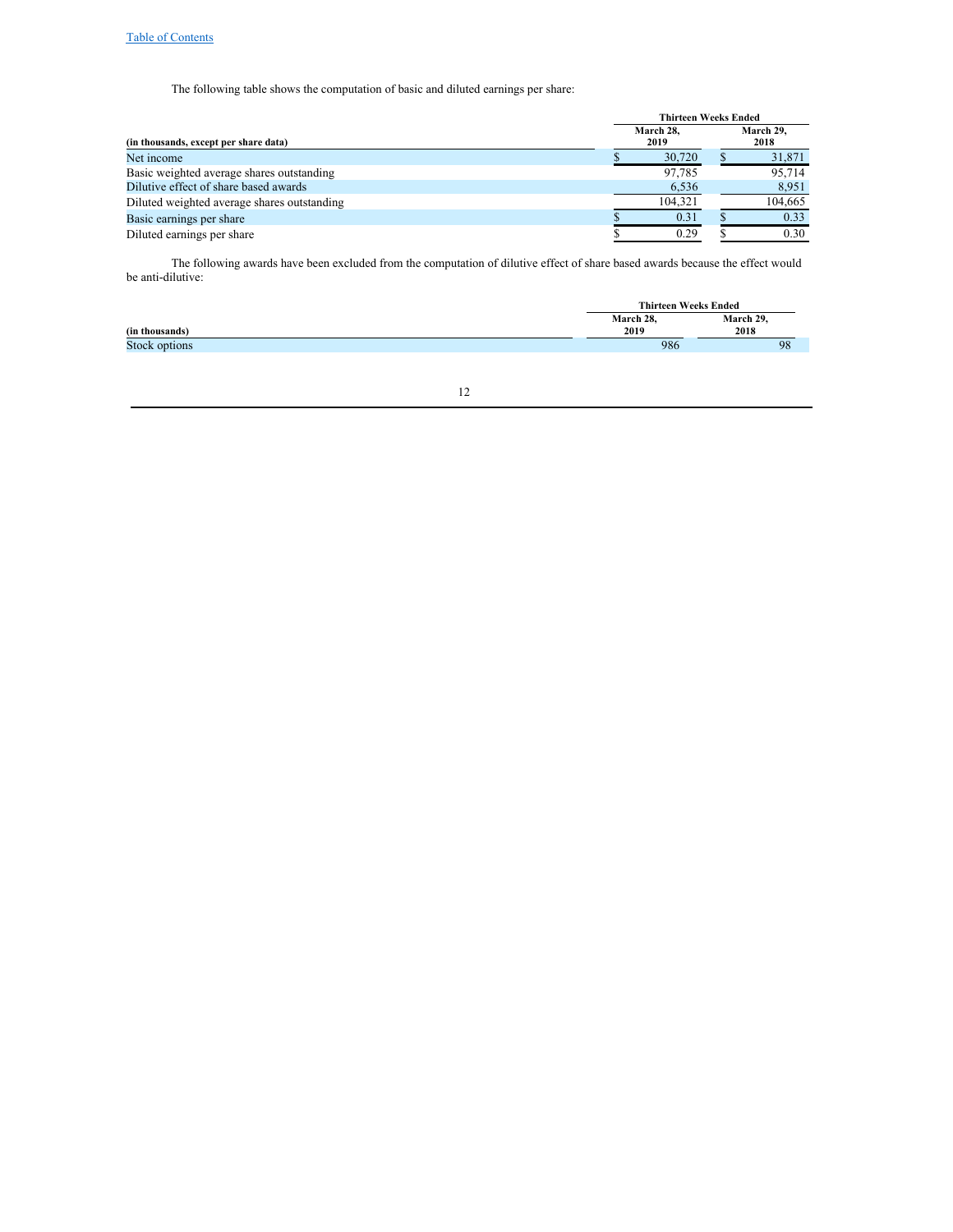The following table shows the computation of basic and diluted earnings per share:

|                                             | <b>Thirteen Weeks Ended</b> |  |         |  |  |  |  |
|---------------------------------------------|-----------------------------|--|---------|--|--|--|--|
| (in thousands, except per share data)       | March 28.<br>2019           |  |         |  |  |  |  |
| Net income                                  | 30,720                      |  | 31,871  |  |  |  |  |
| Basic weighted average shares outstanding   | 97,785                      |  | 95,714  |  |  |  |  |
| Dilutive effect of share based awards       | 6,536                       |  | 8,951   |  |  |  |  |
| Diluted weighted average shares outstanding | 104.321                     |  | 104,665 |  |  |  |  |
| Basic earnings per share                    | 0.31                        |  | 0.33    |  |  |  |  |
| Diluted earnings per share                  | 0.29                        |  | 0.30    |  |  |  |  |
|                                             |                             |  |         |  |  |  |  |

The following awards have been excluded from the computation of dilutive effect of share based awards because the effect would be anti‑dilutive:

|                |           | <b>Thirteen Weeks Ended</b> |
|----------------|-----------|-----------------------------|
|                | March 28, | March 29,                   |
| (in thousands) | 2019      | 2018                        |
| Stock options  | 986       | 98                          |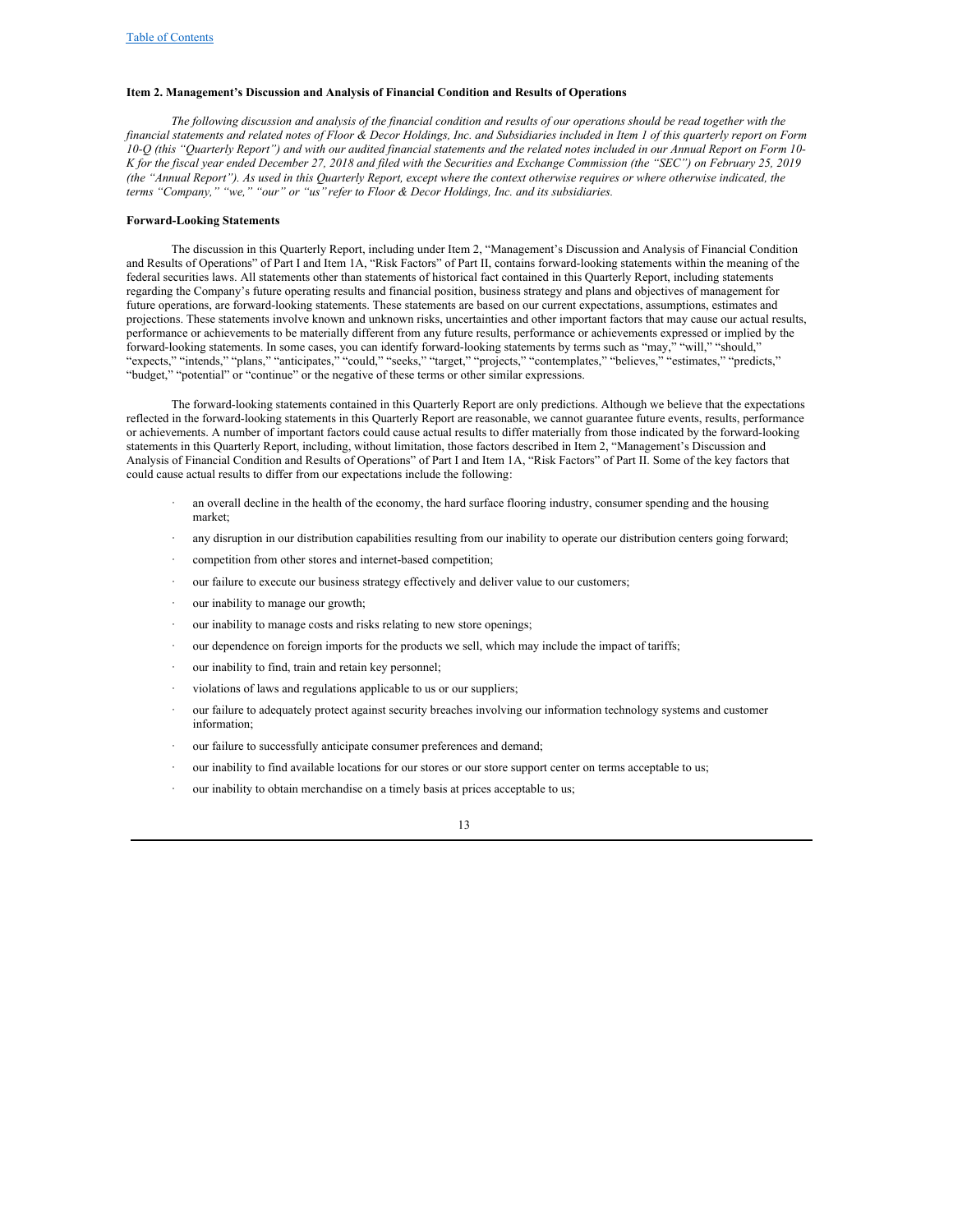#### <span id="page-12-0"></span>**Item 2. Management's Discussion and Analysis of Financial Condition and Results of Operations**

The following discussion and analysis of the financial condition and results of our operations should be read together with the financial statements and related notes of Floor & Decor Holdings, Inc. and Subsidiaries included in Item 1 of this quarterly report on Form 10-Q (this "Quarterly Report") and with our audited financial statements and the related notes included in our Annual Report on Form 10-K for the fiscal year ended December 27, 2018 and filed with the Securities and Exchange Commission (the "SEC") on February 25, 2019 (the "Annual Report"). As used in this Quarterly Report, except where the context otherwise requires or where otherwise indicated, the *terms "Company," "we," "our" or "us"refer to Floor & Decor Holdings, Inc. and its subsidiaries.*

#### <span id="page-12-1"></span>**Forward-Looking Statements**

The discussion in this Quarterly Report, including under Item 2, "Management's Discussion and Analysis of Financial Condition and Results of Operations" of Part I and Item 1A, "Risk Factors" of Part II, contains forward-looking statements within the meaning of the federal securities laws. All statements other than statements of historical fact contained in this Quarterly Report, including statements regarding the Company's future operating results and financial position, business strategy and plans and objectives of management for future operations, are forward-looking statements. These statements are based on our current expectations, assumptions, estimates and projections. These statements involve known and unknown risks, uncertainties and other important factors that may cause our actual results, performance or achievements to be materially different from any future results, performance or achievements expressed or implied by the forward-looking statements. In some cases, you can identify forward-looking statements by terms such as "may," "will," "should," "expects," "intends," "plans," "anticipates," "could," "seeks," "target," "projects," "contemplates," "believes," "estimates," "predicts," "budget," "potential" or "continue" or the negative of these terms or other similar expressions.

The forward-looking statements contained in this Quarterly Report are only predictions. Although we believe that the expectations reflected in the forward-looking statements in this Quarterly Report are reasonable, we cannot guarantee future events, results, performance or achievements. A number of important factors could cause actual results to differ materially from those indicated by the forward-looking statements in this Quarterly Report, including, without limitation, those factors described in Item 2, "Management's Discussion and Analysis of Financial Condition and Results of Operations" of Part I and Item 1A, "Risk Factors" of Part II. Some of the key factors that could cause actual results to differ from our expectations include the following:

- an overall decline in the health of the economy, the hard surface flooring industry, consumer spending and the housing market;
- any disruption in our distribution capabilities resulting from our inability to operate our distribution centers going forward;
- competition from other stores and internet-based competition;
- our failure to execute our business strategy effectively and deliver value to our customers;
- our inability to manage our growth;
- our inability to manage costs and risks relating to new store openings;
- our dependence on foreign imports for the products we sell, which may include the impact of tariffs;
- our inability to find, train and retain key personnel;
- violations of laws and regulations applicable to us or our suppliers;
- our failure to adequately protect against security breaches involving our information technology systems and customer information;
- our failure to successfully anticipate consumer preferences and demand;
- our inability to find available locations for our stores or our store support center on terms acceptable to us;
- our inability to obtain merchandise on a timely basis at prices acceptable to us;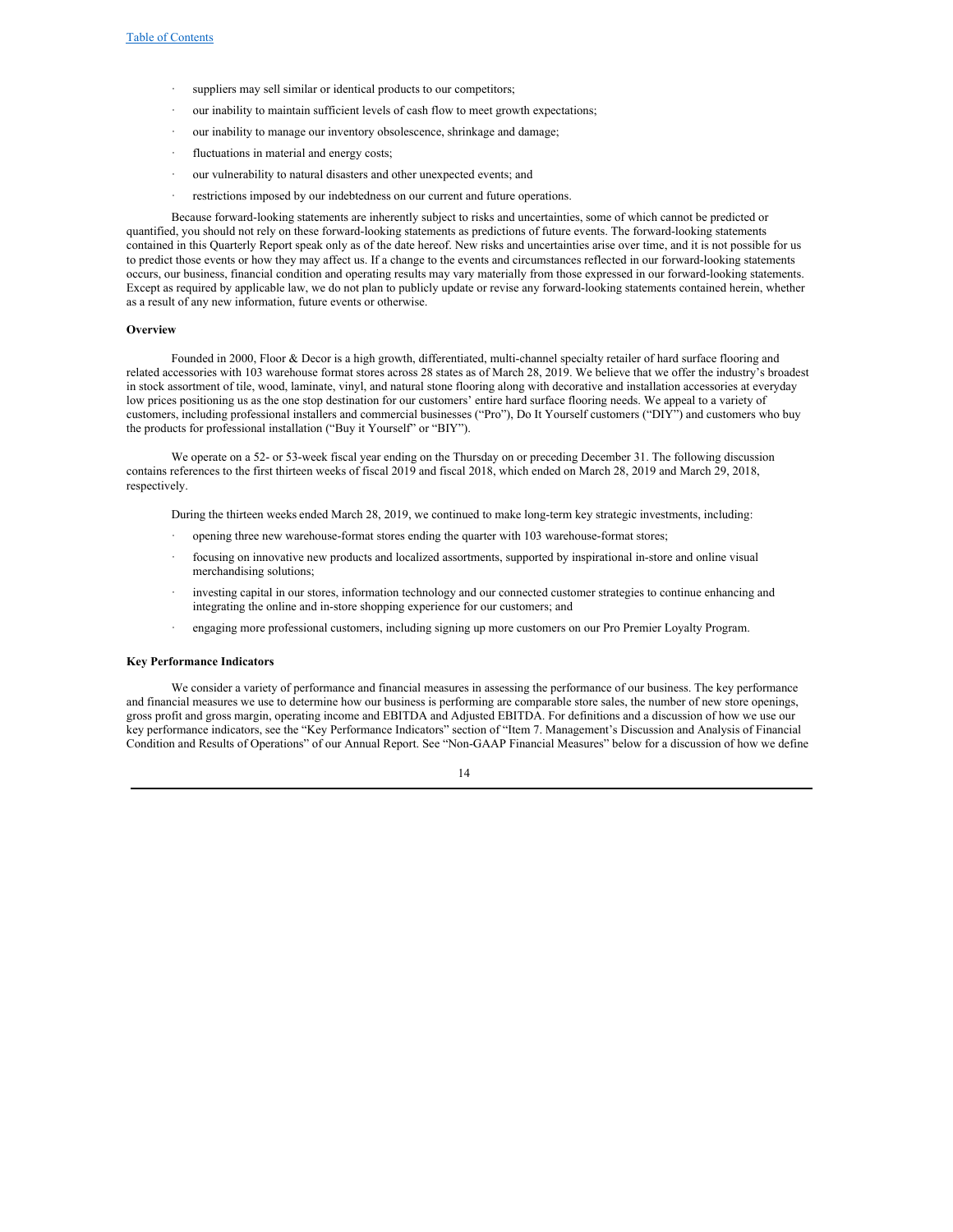- suppliers may sell similar or identical products to our competitors;
- our inability to maintain sufficient levels of cash flow to meet growth expectations;
- our inability to manage our inventory obsolescence, shrinkage and damage;
- fluctuations in material and energy costs;
- our vulnerability to natural disasters and other unexpected events; and
- restrictions imposed by our indebtedness on our current and future operations.

Because forward-looking statements are inherently subject to risks and uncertainties, some of which cannot be predicted or quantified, you should not rely on these forward-looking statements as predictions of future events. The forward-looking statements contained in this Quarterly Report speak only as of the date hereof. New risks and uncertainties arise over time, and it is not possible for us to predict those events or how they may affect us. If a change to the events and circumstances reflected in our forward-looking statements occurs, our business, financial condition and operating results may vary materially from those expressed in our forward-looking statements. Except as required by applicable law, we do not plan to publicly update or revise any forward-looking statements contained herein, whether as a result of any new information, future events or otherwise.

#### **Overview**

Founded in 2000, Floor & Decor is a high growth, differentiated, multi-channel specialty retailer of hard surface flooring and related accessories with 103 warehouse format stores across 28 states as of March 28, 2019. We believe that we offer the industry's broadest in stock assortment of tile, wood, laminate, vinyl, and natural stone flooring along with decorative and installation accessories at everyday low prices positioning us as the one stop destination for our customers' entire hard surface flooring needs. We appeal to a variety of customers, including professional installers and commercial businesses ("Pro"), Do It Yourself customers ("DIY") and customers who buy the products for professional installation ("Buy it Yourself" or "BIY").

We operate on a 52- or 53-week fiscal year ending on the Thursday on or preceding December 31. The following discussion contains references to the first thirteen weeks of fiscal 2019 and fiscal 2018, which ended on March 28, 2019 and March 29, 2018, respectively.

During the thirteen weeks ended March 28, 2019, we continued to make long-term key strategic investments, including:

- · opening three new warehouse-format stores ending the quarter with 103 warehouse-format stores;
- focusing on innovative new products and localized assortments, supported by inspirational in-store and online visual merchandising solutions;
- investing capital in our stores, information technology and our connected customer strategies to continue enhancing and integrating the online and in-store shopping experience for our customers; and
- · engaging more professional customers, including signing up more customers on our Pro Premier Loyalty Program.

#### **Key Performance Indicators**

We consider a variety of performance and financial measures in assessing the performance of our business. The key performance and financial measures we use to determine how our business is performing are comparable store sales, the number of new store openings, gross profit and gross margin, operating income and EBITDA and Adjusted EBITDA. For definitions and a discussion of how we use our key performance indicators, see the "Key Performance Indicators" section of "Item 7. Management's Discussion and Analysis of Financial Condition and Results of Operations" of our Annual Report. See "Non-GAAP Financial Measures" below for a discussion of how we define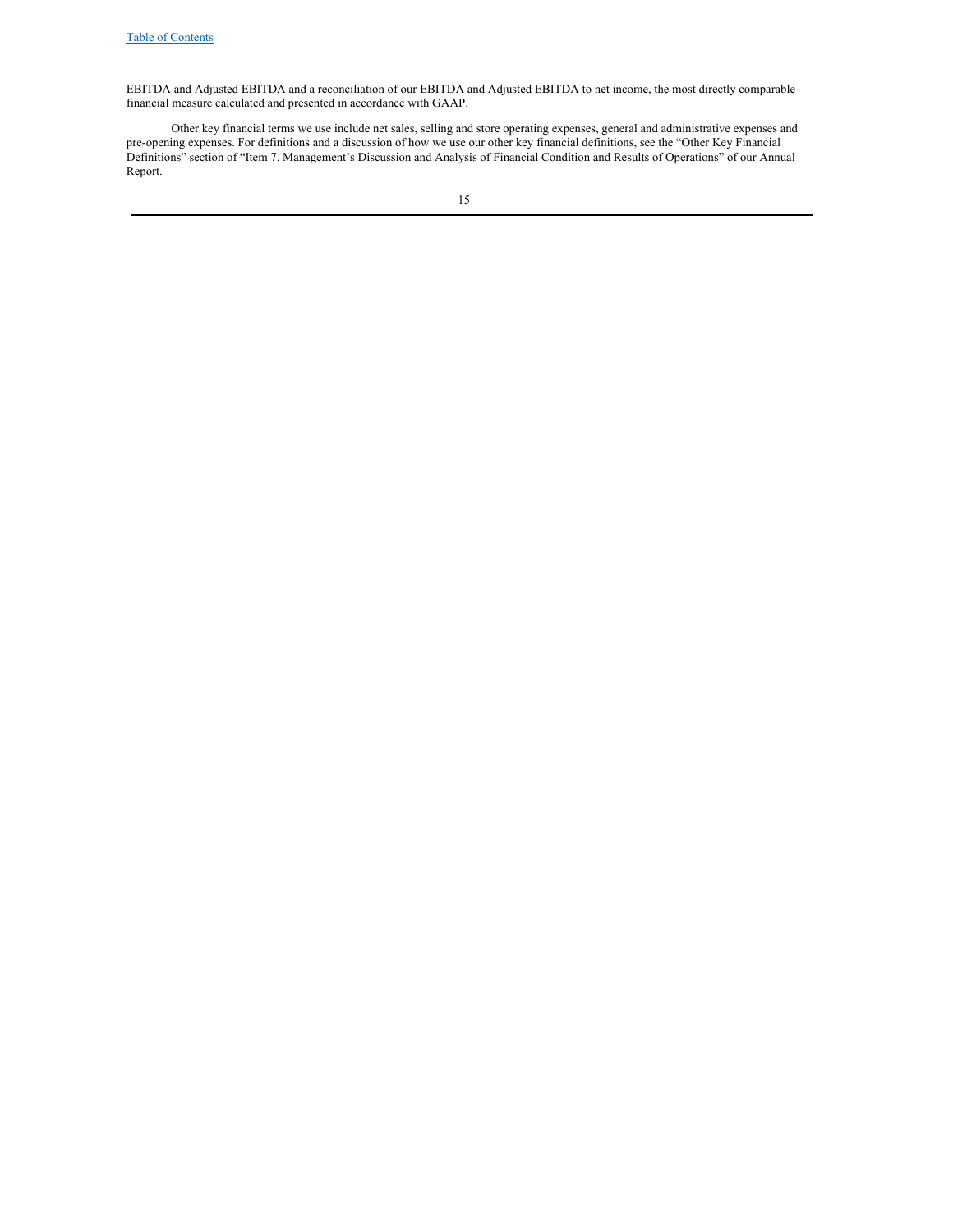EBITDA and Adjusted EBITDA and a reconciliation of our EBITDA and Adjusted EBITDA to net income, the most directly comparable financial measure calculated and presented in accordance with GAAP.

Other key financial terms we use include net sales, selling and store operating expenses, general and administrative expenses and pre-opening expenses. For definitions and a discussion of how we use our other key financial definitions, see the "Other Key Financial Definitions" section of "Item 7. Management's Discussion and Analysis of Financial Condition and Results of Operations" of our Annual Report.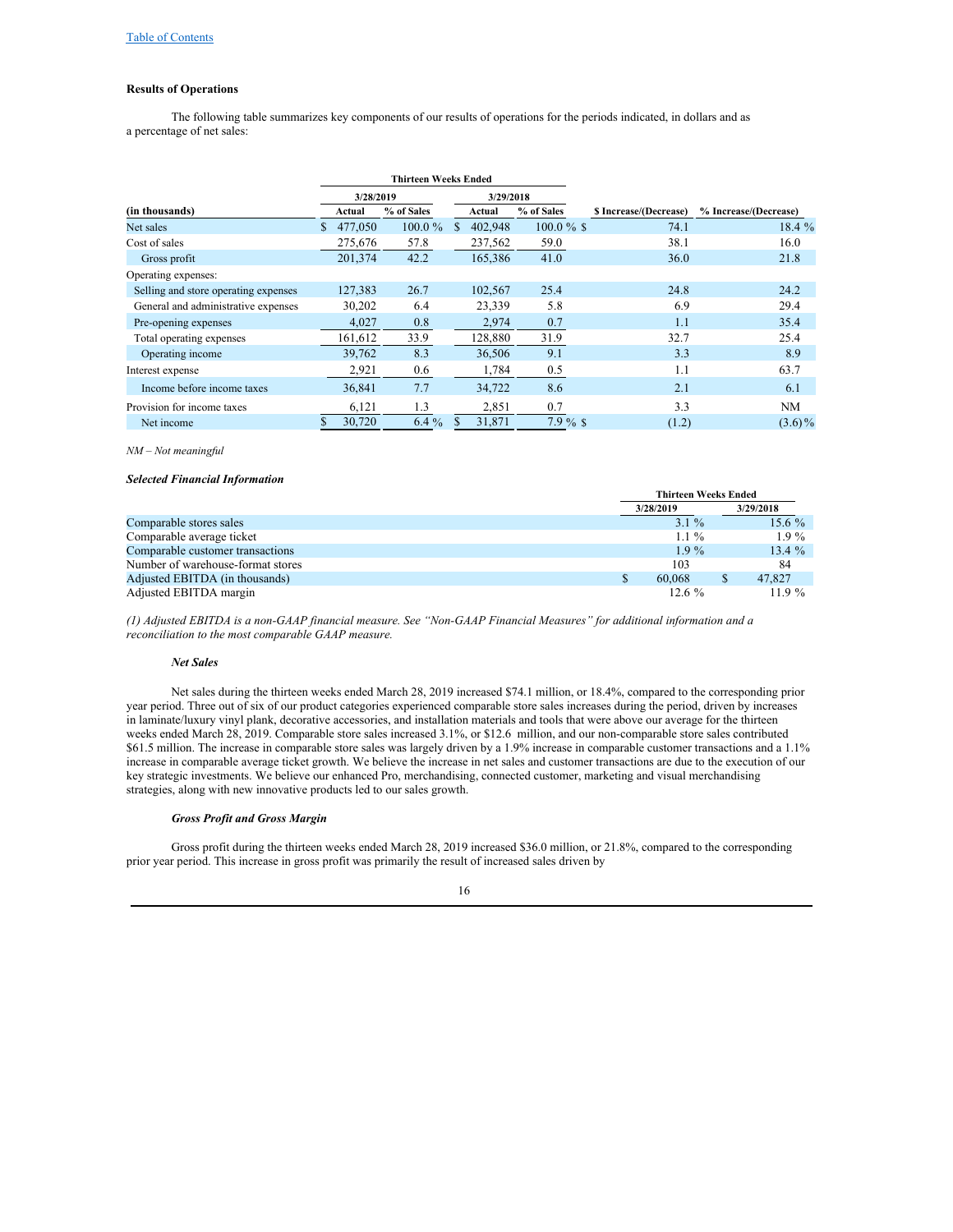## **Results of Operations**

The following table summarizes key components of our results of operations for the periods indicated, in dollars and as a percentage of net sales:

|                                      | <b>Thirteen Weeks Ended</b> |                      |            |           |                      |               |                        |                       |
|--------------------------------------|-----------------------------|----------------------|------------|-----------|----------------------|---------------|------------------------|-----------------------|
|                                      | 3/28/2019                   |                      |            | 3/29/2018 |                      |               |                        |                       |
| (in thousands)                       |                             | % of Sales<br>Actual |            |           | % of Sales<br>Actual |               | \$ Increase/(Decrease) | % Increase/(Decrease) |
| Net sales                            | S.                          | 477,050              | $100.0 \%$ | S         | 402,948              | $100.0 \%$ \$ | 74.1                   | 18.4 %                |
| Cost of sales                        |                             | 275,676              | 57.8       |           | 237,562              | 59.0          | 38.1                   | 16.0                  |
| Gross profit                         |                             | 201,374              | 42.2       |           | 165,386              | 41.0          | 36.0                   | 21.8                  |
| Operating expenses:                  |                             |                      |            |           |                      |               |                        |                       |
| Selling and store operating expenses |                             | 127,383              | 26.7       |           | 102,567              | 25.4          | 24.8                   | 24.2                  |
| General and administrative expenses  |                             | 30,202               | 6.4        |           | 23,339               | 5.8           | 6.9                    | 29.4                  |
| Pre-opening expenses                 |                             | 4,027                | 0.8        |           | 2,974                | 0.7           | 1.1                    | 35.4                  |
| Total operating expenses             |                             | 161,612              | 33.9       |           | 128,880              | 31.9          | 32.7                   | 25.4                  |
| Operating income                     |                             | 39.762               | 8.3        |           | 36,506               | 9.1           | 3.3                    | 8.9                   |
| Interest expense                     |                             | 2,921                | 0.6        |           | 1,784                | 0.5           | 1.1                    | 63.7                  |
| Income before income taxes           |                             | 36,841               | 7.7        |           | 34,722               | 8.6           | 2.1                    | 6.1                   |
| Provision for income taxes           |                             | 6,121                | 1.3        |           | 2,851                | 0.7           | 3.3                    | NM                    |
| Net income                           |                             | 30,720               | $6.4\%$    |           | 31.871               | 7.9%          | (1.2)                  | $(3.6)\%$             |

#### *NM – Not meaningful*

#### *Selected Financial Information*

|                                   |             | <b>Thirteen Weeks Ended</b> |           |  |  |
|-----------------------------------|-------------|-----------------------------|-----------|--|--|
|                                   | 3/28/2019   |                             | 3/29/2018 |  |  |
| Comparable stores sales           | $3.1\%$     |                             | 15.6 $%$  |  |  |
| Comparable average ticket         | $1.1\%$     |                             | $1.9\%$   |  |  |
| Comparable customer transactions  | $1.9\%$     |                             | $13.4 \%$ |  |  |
| Number of warehouse-format stores | 103         |                             | 84        |  |  |
| Adjusted EBITDA (in thousands)    | 60,068<br>S |                             | 47,827    |  |  |
| Adjusted EBITDA margin            | $12.6\%$    |                             | 11.9 $%$  |  |  |

(1) Adjusted EBITDA is a non-GAAP financial measure. See "Non-GAAP Financial Measures" for additional information and a *reconciliation to the most comparable GAAP measure.*

#### *Net Sales*

Net sales during the thirteen weeks ended March 28, 2019 increased \$74.1 million, or 18.4%, compared to the corresponding prior year period. Three out of six of our product categories experienced comparable store sales increases during the period, driven by increases in laminate/luxury vinyl plank, decorative accessories, and installation materials and tools that were above our average for the thirteen weeks ended March 28, 2019. Comparable store sales increased 3.1%, or \$12.6 million, and our non-comparable store sales contributed \$61.5 million. The increase in comparable store sales was largely driven by a 1.9% increase in comparable customer transactions and a 1.1% increase in comparable average ticket growth. We believe the increase in net sales and customer transactions are due to the execution of our key strategic investments. We believe our enhanced Pro, merchandising, connected customer, marketing and visual merchandising strategies, along with new innovative products led to our sales growth.

## *Gross Profit and Gross Margin*

Gross profit during the thirteen weeks ended March 28, 2019 increased \$36.0 million, or 21.8%, compared to the corresponding prior year period. This increase in gross profit was primarily the result of increased sales driven by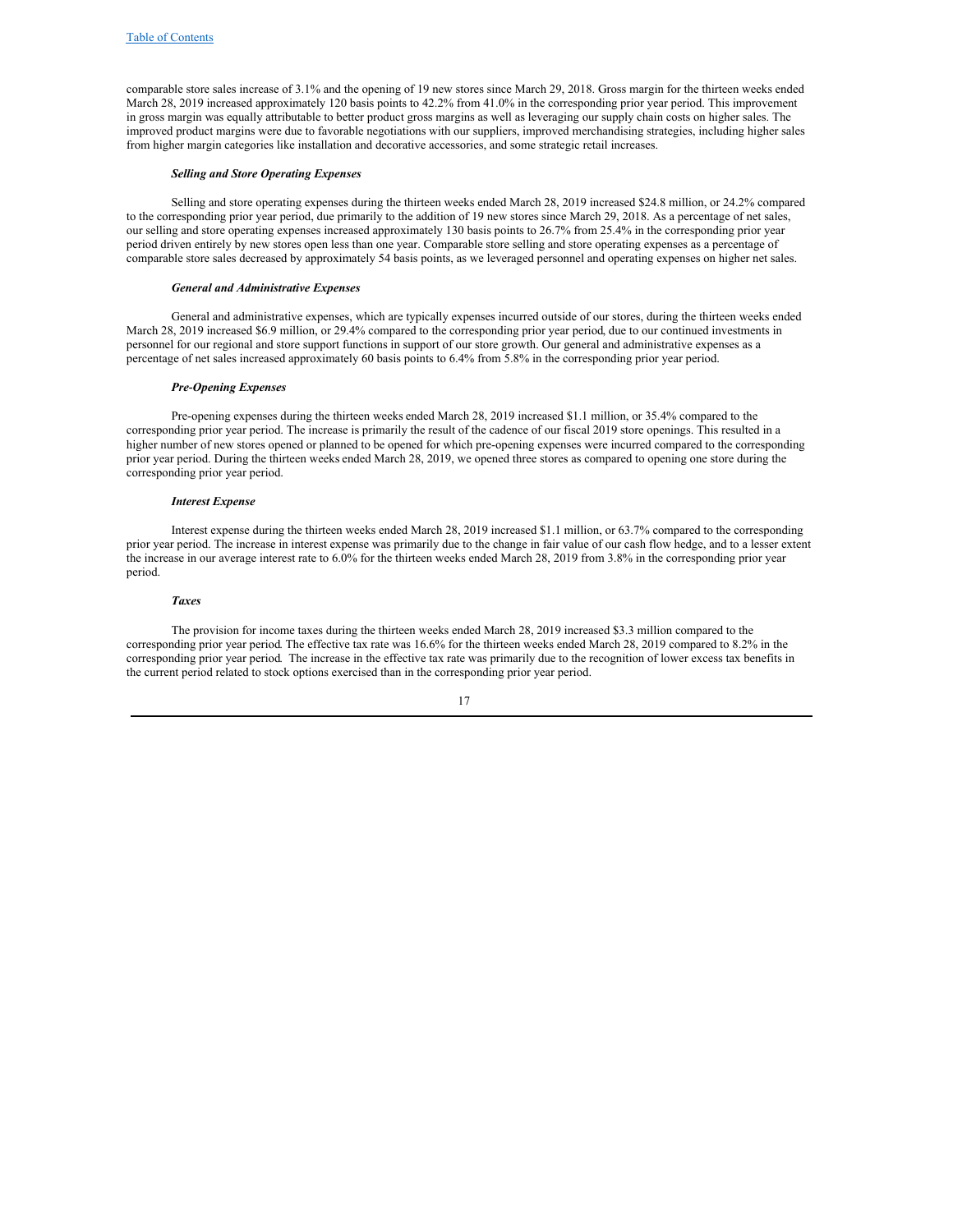comparable store sales increase of 3.1% and the opening of 19 new stores since March 29, 2018. Gross margin for the thirteen weeks ended March 28, 2019 increased approximately 120 basis points to 42.2% from 41.0% in the corresponding prior year period. This improvement in gross margin was equally attributable to better product gross margins as well as leveraging our supply chain costs on higher sales. The improved product margins were due to favorable negotiations with our suppliers, improved merchandising strategies, including higher sales from higher margin categories like installation and decorative accessories, and some strategic retail increases.

#### *Selling and Store Operating Expenses*

Selling and store operating expenses during the thirteen weeks ended March 28, 2019 increased \$24.8 million, or 24.2% compared to the corresponding prior year period, due primarily to the addition of 19 new stores since March 29, 2018. As a percentage of net sales, our selling and store operating expenses increased approximately 130 basis points to 26.7% from 25.4% in the corresponding prior year period driven entirely by new stores open less than one year. Comparable store selling and store operating expenses as a percentage of comparable store sales decreased by approximately 54 basis points, as we leveraged personnel and operating expenses on higher net sales.

#### *General and Administrative Expenses*

General and administrative expenses, which are typically expenses incurred outside of our stores, during the thirteen weeks ended March 28, 2019 increased \$6.9 million, or 29.4% compared to the corresponding prior year period, due to our continued investments in personnel for our regional and store support functions in support of our store growth. Our general and administrative expenses as a percentage of net sales increased approximately 60 basis points to 6.4% from 5.8% in the corresponding prior year period.

#### *Pre‑Opening Expenses*

Pre-opening expenses during the thirteen weeks ended March 28, 2019 increased \$1.1 million, or 35.4% compared to the corresponding prior year period. The increase is primarily the result of the cadence of our fiscal 2019 store openings. This resulted in a higher number of new stores opened or planned to be opened for which pre-opening expenses were incurred compared to the corresponding prior year period. During the thirteen weeks ended March 28, 2019, we opened three stores as compared to opening one store during the corresponding prior year period.

#### *Interest Expense*

Interest expense during the thirteen weeks ended March 28, 2019 increased \$1.1 million, or 63.7% compared to the corresponding prior year period. The increase in interest expense was primarily due to the change in fair value of our cash flow hedge, and to a lesser extent the increase in our average interest rate to 6.0% for the thirteen weeks ended March 28, 2019 from 3.8% in the corresponding prior year period.

#### *Taxes*

The provision for income taxes during the thirteen weeks ended March 28, 2019 increased \$3.3 million compared to the corresponding prior year period. The effective tax rate was 16.6% for the thirteen weeks ended March 28, 2019 compared to 8.2% in the corresponding prior year period. The increase in the effective tax rate was primarily due to the recognition of lower excess tax benefits in the current period related to stock options exercised than in the corresponding prior year period.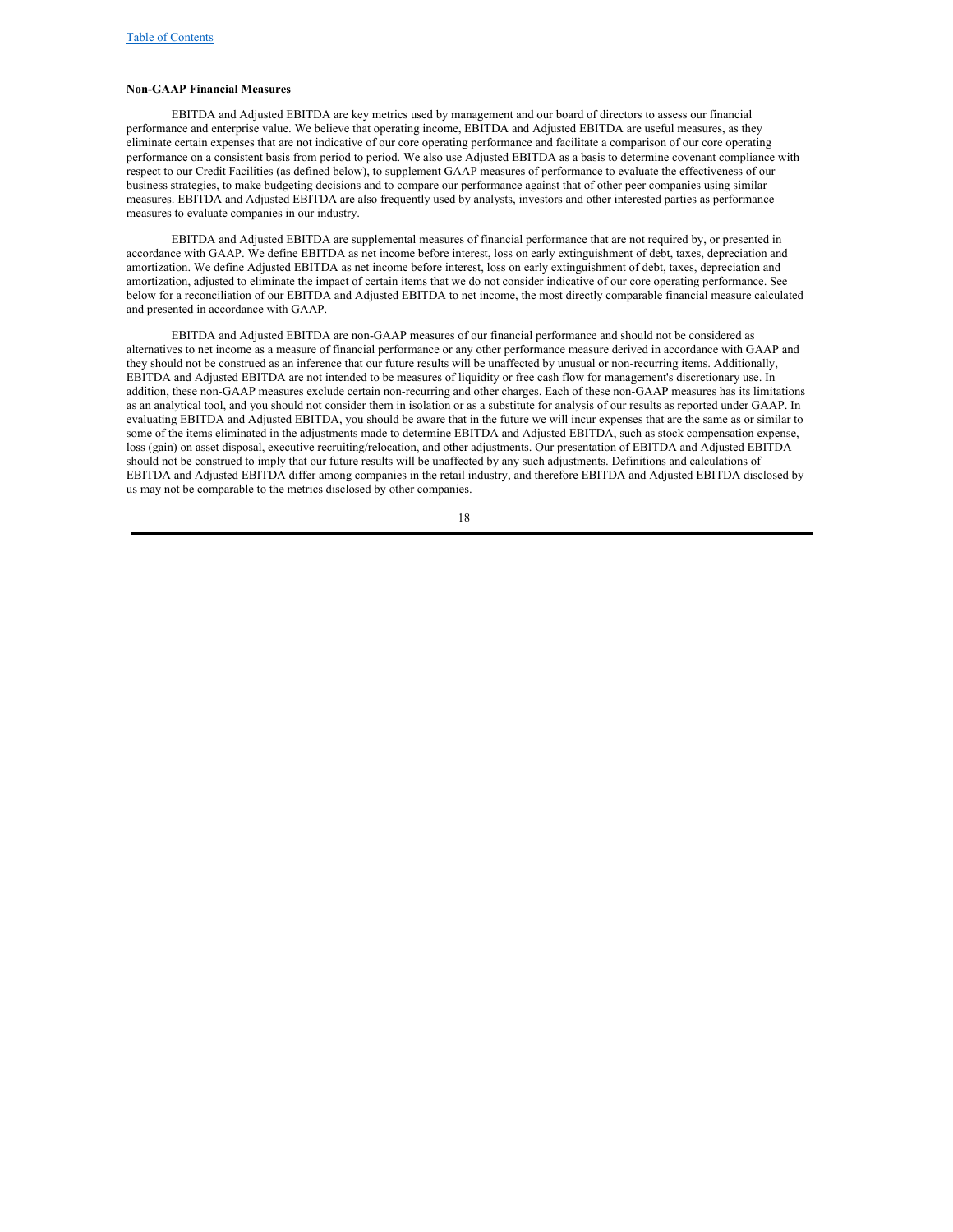#### **Non-GAAP Financial Measures**

EBITDA and Adjusted EBITDA are key metrics used by management and our board of directors to assess our financial performance and enterprise value. We believe that operating income, EBITDA and Adjusted EBITDA are useful measures, as they eliminate certain expenses that are not indicative of our core operating performance and facilitate a comparison of our core operating performance on a consistent basis from period to period. We also use Adjusted EBITDA as a basis to determine covenant compliance with respect to our Credit Facilities (as defined below), to supplement GAAP measures of performance to evaluate the effectiveness of our business strategies, to make budgeting decisions and to compare our performance against that of other peer companies using similar measures. EBITDA and Adjusted EBITDA are also frequently used by analysts, investors and other interested parties as performance measures to evaluate companies in our industry.

EBITDA and Adjusted EBITDA are supplemental measures of financial performance that are not required by, or presented in accordance with GAAP. We define EBITDA as net income before interest, loss on early extinguishment of debt, taxes, depreciation and amortization. We define Adjusted EBITDA as net income before interest, loss on early extinguishment of debt, taxes, depreciation and amortization, adjusted to eliminate the impact of certain items that we do not consider indicative of our core operating performance. See below for a reconciliation of our EBITDA and Adjusted EBITDA to net income, the most directly comparable financial measure calculated and presented in accordance with GAAP.

EBITDA and Adjusted EBITDA are non-GAAP measures of our financial performance and should not be considered as alternatives to net income as a measure of financial performance or any other performance measure derived in accordance with GAAP and they should not be construed as an inference that our future results will be unaffected by unusual or non-recurring items. Additionally, EBITDA and Adjusted EBITDA are not intended to be measures of liquidity or free cash flow for management's discretionary use. In addition, these non-GAAP measures exclude certain non-recurring and other charges. Each of these non-GAAP measures has its limitations as an analytical tool, and you should not consider them in isolation or as a substitute for analysis of our results as reported under GAAP. In evaluating EBITDA and Adjusted EBITDA, you should be aware that in the future we will incur expenses that are the same as or similar to some of the items eliminated in the adjustments made to determine EBITDA and Adjusted EBITDA, such as stock compensation expense, loss (gain) on asset disposal, executive recruiting/relocation, and other adjustments. Our presentation of EBITDA and Adjusted EBITDA should not be construed to imply that our future results will be unaffected by any such adjustments. Definitions and calculations of EBITDA and Adjusted EBITDA differ among companies in the retail industry, and therefore EBITDA and Adjusted EBITDA disclosed by us may not be comparable to the metrics disclosed by other companies.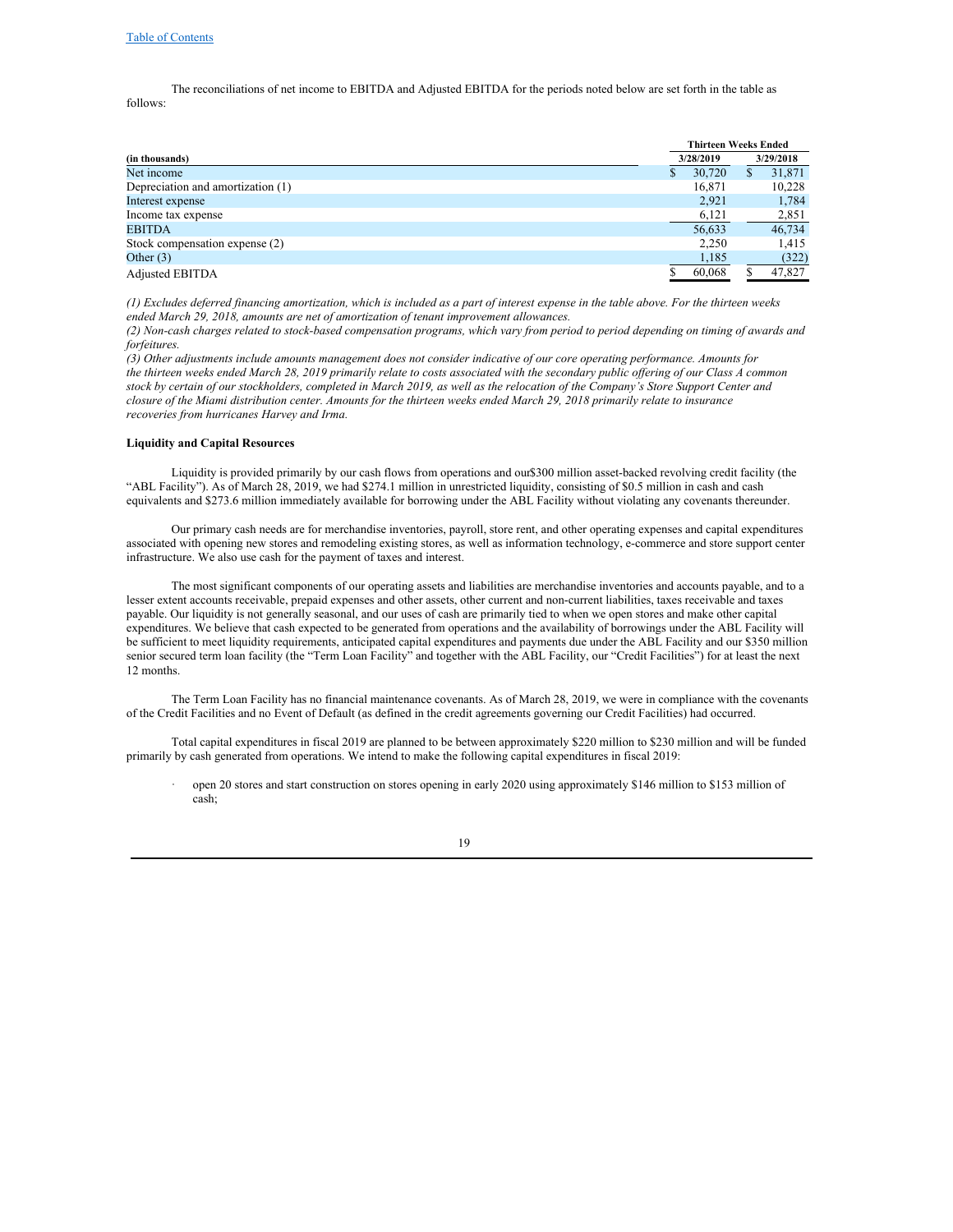The reconciliations of net income to EBITDA and Adjusted EBITDA for the periods noted below are set forth in the table as follows:

|                                   |                        | <b>Thirteen Weeks Ended</b> |   |        |  |
|-----------------------------------|------------------------|-----------------------------|---|--------|--|
| (in thousands)                    | 3/29/2018<br>3/28/2019 |                             |   |        |  |
| Net income                        |                        | 30,720                      | S | 31,871 |  |
| Depreciation and amortization (1) |                        | 16,871                      |   | 10,228 |  |
| Interest expense                  |                        | 2,921                       |   | 1,784  |  |
| Income tax expense                |                        | 6,121                       |   | 2,851  |  |
| <b>EBITDA</b>                     |                        | 56,633                      |   | 46,734 |  |
| Stock compensation expense (2)    |                        | 2,250                       |   | 1,415  |  |
| Other $(3)$                       |                        | 1,185                       |   | (322)  |  |
| <b>Adjusted EBITDA</b>            |                        | 60,068                      |   | 47,827 |  |

(1) Excludes deferred financing amortization, which is included as a part of interest expense in the table above. For the thirteen weeks *ended March 29, 2018, amounts are net of amortization of tenant improvement allowances.*

(2) Non-cash charges related to stock-based compensation programs, which vary from period to period depending on timing of awards and *forfeitures.*

(3) Other adjustments include amounts management does not consider indicative of our core operating performance. Amounts for the thirteen weeks ended March 28, 2019 primarily relate to costs associated with the secondary public offering of our Class A common stock by certain of our stockholders, completed in March 2019, as well as the relocation of the Company's Store Support Center and closure of the Miami distribution center. Amounts for the thirteen weeks ended March 29, 2018 primarily relate to insurance *recoveries from hurricanes Harvey and Irma.*

#### **Liquidity and Capital Resources**

Liquidity is provided primarily by our cash flows from operations and our\$300 million asset-backed revolving credit facility (the "ABL Facility"). As of March 28, 2019, we had \$274.1 million in unrestricted liquidity, consisting of \$0.5 million in cash and cash equivalents and \$273.6 million immediately available for borrowing under the ABL Facility without violating any covenants thereunder.

Our primary cash needs are for merchandise inventories, payroll, store rent, and other operating expenses and capital expenditures associated with opening new stores and remodeling existing stores, as well as information technology, e-commerce and store support center infrastructure. We also use cash for the payment of taxes and interest.

The most significant components of our operating assets and liabilities are merchandise inventories and accounts payable, and to a lesser extent accounts receivable, prepaid expenses and other assets, other current and non-current liabilities, taxes receivable and taxes payable. Our liquidity is not generally seasonal, and our uses of cash are primarily tied to when we open stores and make other capital expenditures. We believe that cash expected to be generated from operations and the availability of borrowings under the ABL Facility will be sufficient to meet liquidity requirements, anticipated capital expenditures and payments due under the ABL Facility and our \$350 million senior secured term loan facility (the "Term Loan Facility" and together with the ABL Facility, our "Credit Facilities") for at least the next 12 months.

The Term Loan Facility has no financial maintenance covenants. As of March 28, 2019, we were in compliance with the covenants of the Credit Facilities and no Event of Default (as defined in the credit agreements governing our Credit Facilities) had occurred.

Total capital expenditures in fiscal 2019 are planned to be between approximately \$220 million to \$230 million and will be funded primarily by cash generated from operations. We intend to make the following capital expenditures in fiscal 2019:

· open 20 stores and start construction on stores opening in early 2020 using approximately \$146 million to \$153 million of cash;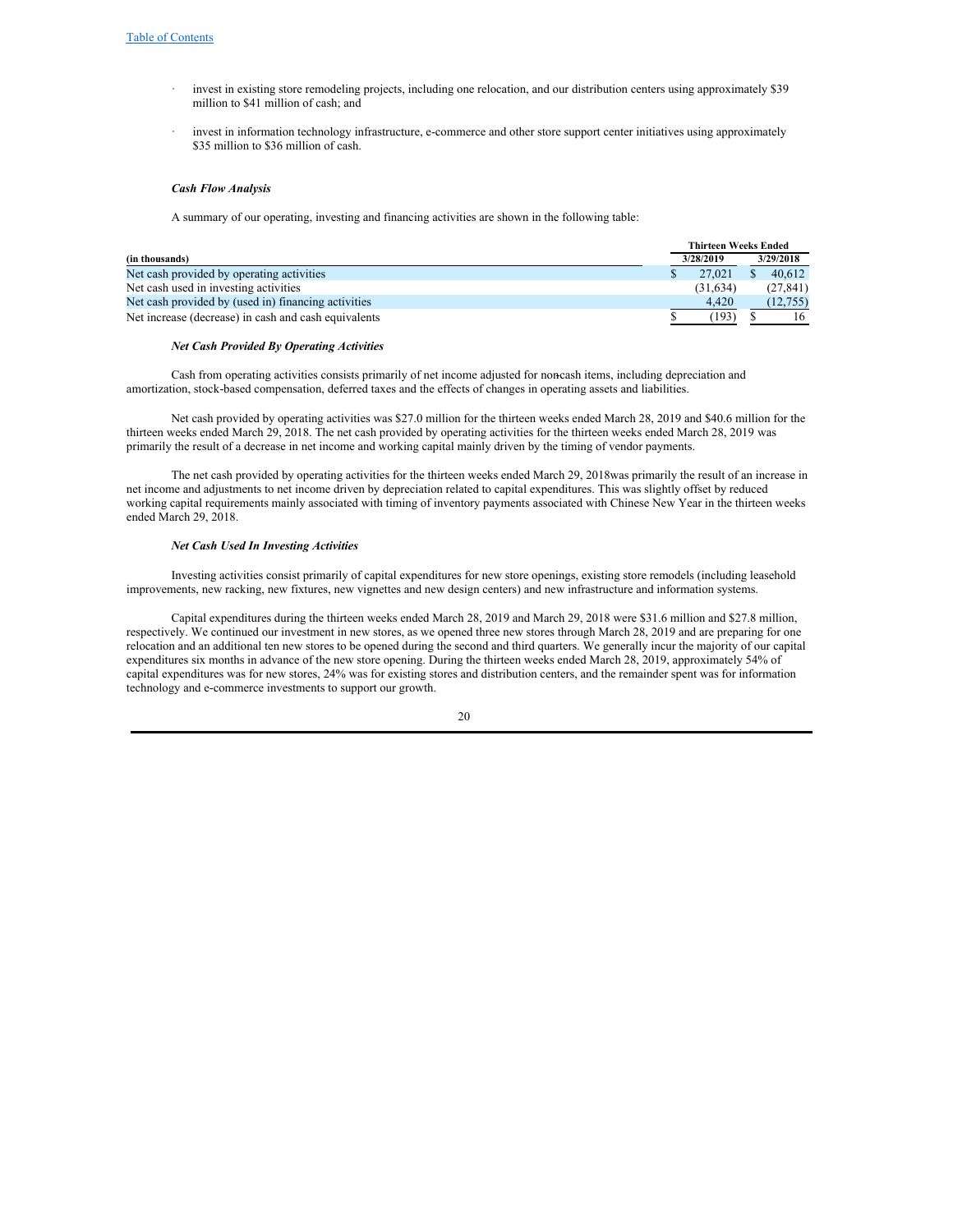- invest in existing store remodeling projects, including one relocation, and our distribution centers using approximately \$39 million to \$41 million of cash; and
- invest in information technology infrastructure, e-commerce and other store support center initiatives using approximately \$35 million to \$36 million of cash.

#### *Cash Flow Analysis*

A summary of our operating, investing and financing activities are shown in the following table:

|                                                      | <b>Thirteen Weeks Ended</b> |          |           |           |
|------------------------------------------------------|-----------------------------|----------|-----------|-----------|
| (in thousands)                                       | 3/28/2019                   |          | 3/29/2018 |           |
| Net cash provided by operating activities            |                             | 27,021   |           | 40.612    |
| Net cash used in investing activities                |                             | (31.634) |           | (27, 841) |
| Net cash provided by (used in) financing activities  |                             | 4.420    |           | (12.755)  |
| Net increase (decrease) in cash and cash equivalents |                             | (193)    |           | 16        |

#### *Net Cash Provided By Operating Activities*

Cash from operating activities consists primarily of net income adjusted for non-cash items, including depreciation and amortization, stock-based compensation, deferred taxes and the effects of changes in operating assets and liabilities.

Net cash provided by operating activities was \$27.0 million for the thirteen weeks ended March 28, 2019 and \$40.6 million for the thirteen weeks ended March 29, 2018. The net cash provided by operating activities for the thirteen weeks ended March 28, 2019 was primarily the result of a decrease in net income and working capital mainly driven by the timing of vendor payments.

The net cash provided by operating activities for the thirteen weeks ended March 29, 2018was primarily the result of an increase in net income and adjustments to net income driven by depreciation related to capital expenditures. This was slightly offset by reduced working capital requirements mainly associated with timing of inventory payments associated with Chinese New Year in the thirteen weeks ended March 29, 2018.

#### *Net Cash Used In Investing Activities*

Investing activities consist primarily of capital expenditures for new store openings, existing store remodels (including leasehold improvements, new racking, new fixtures, new vignettes and new design centers) and new infrastructure and information systems.

Capital expenditures during the thirteen weeks ended March 28, 2019 and March 29, 2018 were \$31.6 million and \$27.8 million, respectively. We continued our investment in new stores, as we opened three new stores through March 28, 2019 and are preparing for one relocation and an additional ten new stores to be opened during the second and third quarters. We generally incur the majority of our capital expenditures six months in advance of the new store opening. During the thirteen weeks ended March 28, 2019, approximately 54% of capital expenditures was for new stores, 24% was for existing stores and distribution centers, and the remainder spent was for information technology and e‑commerce investments to support our growth.

| ٠<br>٦ | I             |
|--------|---------------|
|        |               |
|        | ۰.<br>×<br>۰. |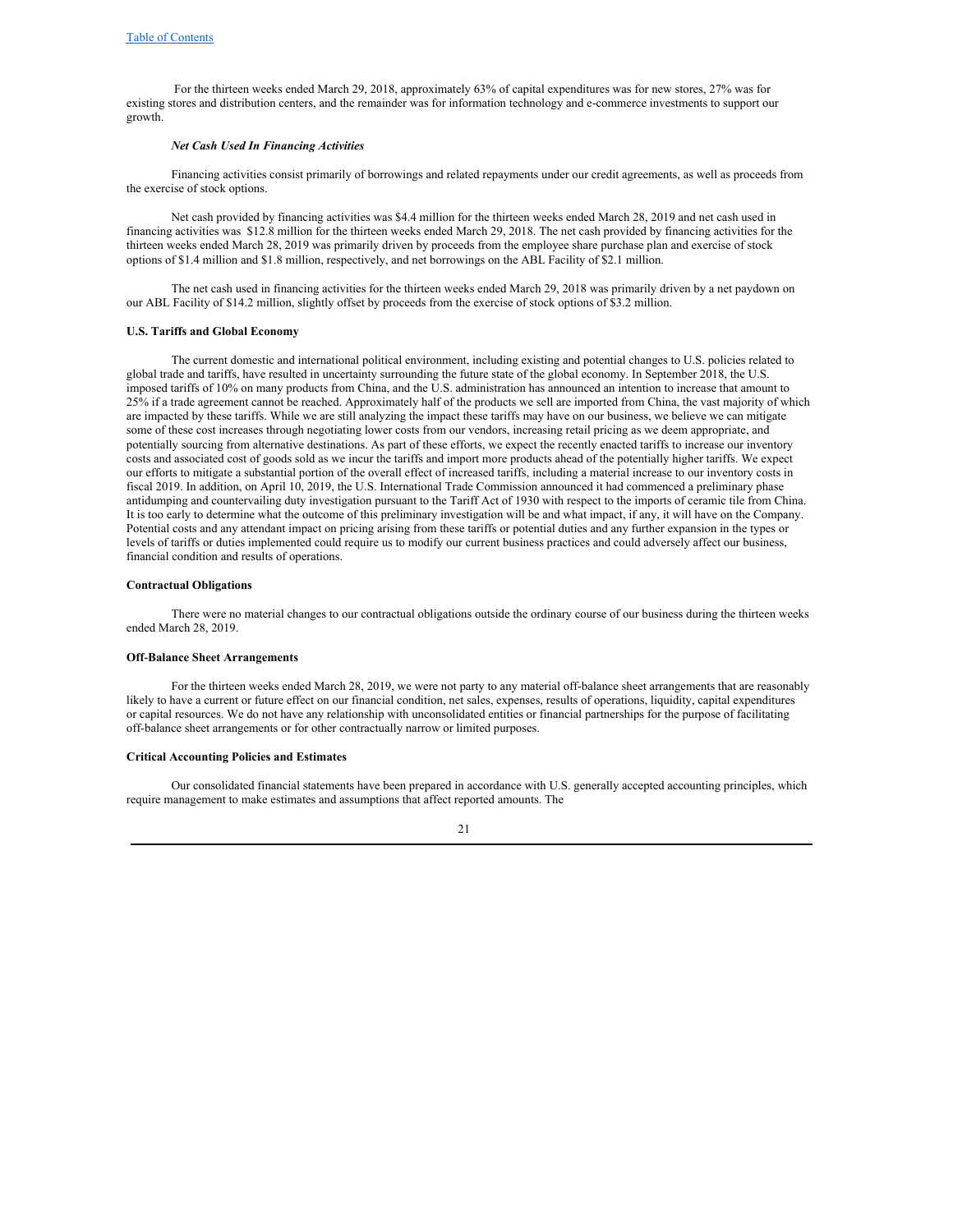For the thirteen weeks ended March 29, 2018, approximately 63% of capital expenditures was for new stores, 27% was for existing stores and distribution centers, and the remainder was for information technology and e‑commerce investments to support our growth.

#### *Net Cash Used In Financing Activities*

Financing activities consist primarily of borrowings and related repayments under our credit agreements, as well as proceeds from the exercise of stock options.

Net cash provided by financing activities was \$4.4 million for the thirteen weeks ended March 28, 2019 and net cash used in financing activities was \$12.8 million for the thirteen weeks ended March 29, 2018. The net cash provided by financing activities for the thirteen weeks ended March 28, 2019 was primarily driven by proceeds from the employee share purchase plan and exercise of stock options of \$1.4 million and \$1.8 million, respectively, and net borrowings on the ABL Facility of \$2.1 million.

The net cash used in financing activities for the thirteen weeks ended March 29, 2018 was primarily driven by a net paydown on our ABL Facility of \$14.2 million, slightly offset by proceeds from the exercise of stock options of \$3.2 million.

#### **U.S. Tariffs and Global Economy**

The current domestic and international political environment, including existing and potential changes to U.S. policies related to global trade and tariffs, have resulted in uncertainty surrounding the future state of the global economy. In September 2018, the U.S. imposed tariffs of 10% on many products from China, and the U.S. administration has announced an intention to increase that amount to 25% if a trade agreement cannot be reached. Approximately half of the products we sell are imported from China, the vast majority of which are impacted by these tariffs. While we are still analyzing the impact these tariffs may have on our business, we believe we can mitigate some of these cost increases through negotiating lower costs from our vendors, increasing retail pricing as we deem appropriate, and potentially sourcing from alternative destinations. As part of these efforts, we expect the recently enacted tariffs to increase our inventory costs and associated cost of goods sold as we incur the tariffs and import more products ahead of the potentially higher tariffs. We expect our efforts to mitigate a substantial portion of the overall effect of increased tariffs, including a material increase to our inventory costs in fiscal 2019. In addition, on April 10, 2019, the U.S. International Trade Commission announced it had commenced a preliminary phase antidumping and countervailing duty investigation pursuant to the Tariff Act of 1930 with respect to the imports of ceramic tile from China. It is too early to determine what the outcome of this preliminary investigation will be and what impact, if any, it will have on the Company. Potential costs and any attendant impact on pricing arising from these tariffs or potential duties and any further expansion in the types or levels of tariffs or duties implemented could require us to modify our current business practices and could adversely affect our business, financial condition and results of operations.

#### **Contractual Obligations**

There were no material changes to our contractual obligations outside the ordinary course of our business during the thirteen weeks ended March 28, 2019.

#### **Off‑Balance Sheet Arrangements**

For the thirteen weeks ended March 28, 2019, we were not party to any material off-balance sheet arrangements that are reasonably likely to have a current or future effect on our financial condition, net sales, expenses, results of operations, liquidity, capital expenditures or capital resources. We do not have any relationship with unconsolidated entities or financial partnerships for the purpose of facilitating off-balance sheet arrangements or for other contractually narrow or limited purposes.

#### **Critical Accounting Policies and Estimates**

Our consolidated financial statements have been prepared in accordance with U.S. generally accepted accounting principles, which require management to make estimates and assumptions that affect reported amounts. The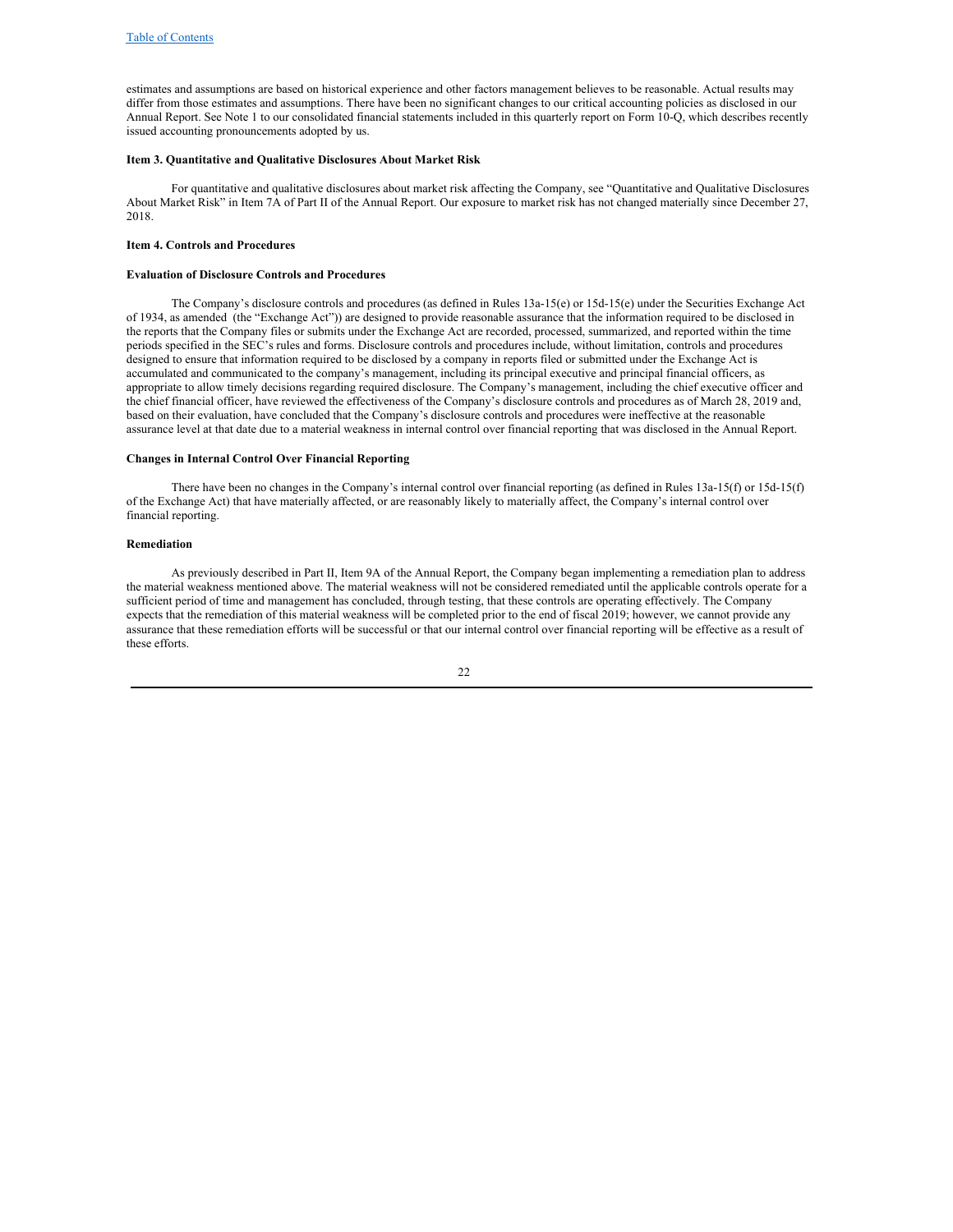estimates and assumptions are based on historical experience and other factors management believes to be reasonable. Actual results may differ from those estimates and assumptions. There have been no significant changes to our critical accounting policies as disclosed in our Annual Report. See Note 1 to our consolidated financial statements included in this quarterly report on Form 10-Q, which describes recently issued accounting pronouncements adopted by us.

#### <span id="page-21-0"></span>**Item 3. Quantitative and Qualitative Disclosures About Market Risk**

For quantitative and qualitative disclosures about market risk affecting the Company, see "Quantitative and Qualitative Disclosures About Market Risk" in Item 7A of Part II of the Annual Report. Our exposure to market risk has not changed materially since December 27, 2018.

### <span id="page-21-1"></span>**Item 4. Controls and Procedures**

#### **Evaluation of Disclosure Controls and Procedures**

The Company's disclosure controls and procedures (as defined in Rules 13a-15(e) or 15d-15(e) under the Securities Exchange Act of 1934, as amended (the "Exchange Act")) are designed to provide reasonable assurance that the information required to be disclosed in the reports that the Company files or submits under the Exchange Act are recorded, processed, summarized, and reported within the time periods specified in the SEC's rules and forms. Disclosure controls and procedures include, without limitation, controls and procedures designed to ensure that information required to be disclosed by a company in reports filed or submitted under the Exchange Act is accumulated and communicated to the company's management, including its principal executive and principal financial officers, as appropriate to allow timely decisions regarding required disclosure. The Company's management, including the chief executive officer and the chief financial officer, have reviewed the effectiveness of the Company's disclosure controls and procedures as of March 28, 2019 and, based on their evaluation, have concluded that the Company's disclosure controls and procedures were ineffective at the reasonable assurance level at that date due to a material weakness in internal control over financial reporting that was disclosed in the Annual Report.

## **Changes in Internal Control Over Financial Reporting**

There have been no changes in the Company's internal control over financial reporting (as defined in Rules 13a-15(f) or 15d-15(f) of the Exchange Act) that have materially affected, or are reasonably likely to materially affect, the Company's internal control over financial reporting.

#### **Remediation**

As previously described in Part II, Item 9A of the Annual Report, the Company began implementing a remediation plan to address the material weakness mentioned above. The material weakness will not be considered remediated until the applicable controls operate for a sufficient period of time and management has concluded, through testing, that these controls are operating effectively. The Company expects that the remediation of this material weakness will be completed prior to the end of fiscal 2019; however, we cannot provide any assurance that these remediation efforts will be successful or that our internal control over financial reporting will be effective as a result of these efforts.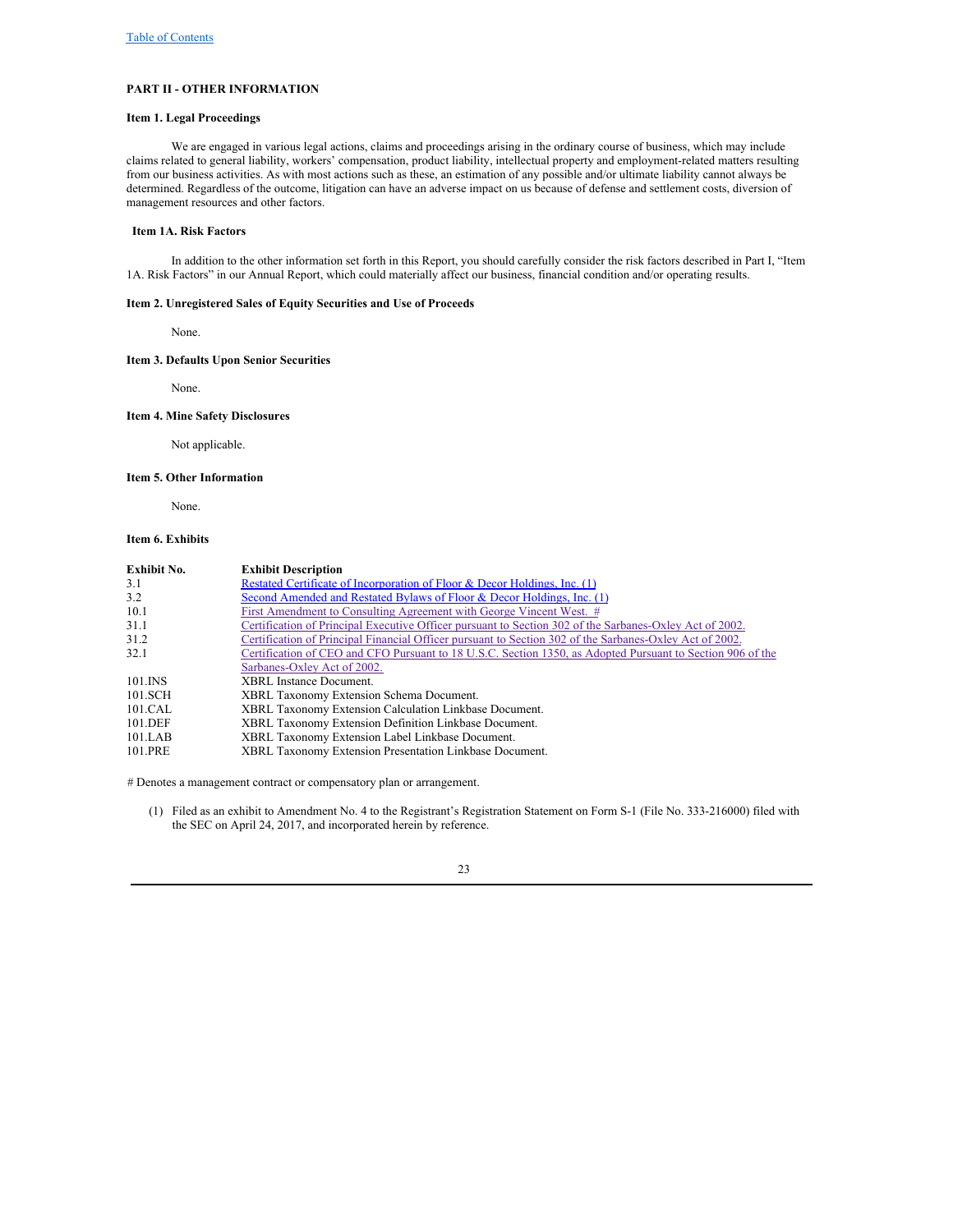## <span id="page-22-0"></span>**PART II - OTHER INFORMATION**

## <span id="page-22-1"></span>**Item 1. Legal Proceedings**

We are engaged in various legal actions, claims and proceedings arising in the ordinary course of business, which may include claims related to general liability, workers' compensation, product liability, intellectual property and employment-related matters resulting from our business activities. As with most actions such as these, an estimation of any possible and/or ultimate liability cannot always be determined. Regardless of the outcome, litigation can have an adverse impact on us because of defense and settlement costs, diversion of management resources and other factors.

#### <span id="page-22-2"></span>**Item 1A. Risk Factors**

In addition to the other information set forth in this Report, you should carefully consider the risk factors described in Part I, "Item 1A. Risk Factors" in our Annual Report, which could materially affect our business, financial condition and/or operating results.

### **Item 2. Unregistered Sales of Equity Securities and Use of Proceeds**

<span id="page-22-4"></span><span id="page-22-3"></span>None.

## **Item 3. Defaults Upon Senior Securities**

<span id="page-22-5"></span>None.

#### **Item 4. Mine Safety Disclosures**

<span id="page-22-6"></span>Not applicable.

### **Item 5. Other Information**

<span id="page-22-7"></span>None.

## **Item 6. Exhibits**

| <b>Exhibit No.</b> | <b>Exhibit Description</b>                                                                                 |
|--------------------|------------------------------------------------------------------------------------------------------------|
| 3.1                | Restated Certificate of Incorporation of Floor & Decor Holdings, Inc. (1)                                  |
| 3.2                | Second Amended and Restated Bylaws of Floor & Decor Holdings, Inc. $(1)$                                   |
| 10.1               | First Amendment to Consulting Agreement with George Vincent West. #                                        |
| 31.1               | Certification of Principal Executive Officer pursuant to Section 302 of the Sarbanes-Oxley Act of 2002.    |
| 31.2               | Certification of Principal Financial Officer pursuant to Section 302 of the Sarbanes-Oxley Act of 2002.    |
| 32.1               | Certification of CEO and CFO Pursuant to 18 U.S.C. Section 1350, as Adopted Pursuant to Section 906 of the |
|                    | Sarbanes-Oxley Act of 2002.                                                                                |
| 101.INS            | XBRL Instance Document.                                                                                    |
| 101.SCH            | XBRL Taxonomy Extension Schema Document.                                                                   |
| 101.CAL            | XBRL Taxonomy Extension Calculation Linkbase Document.                                                     |
| 101.DEF            | XBRL Taxonomy Extension Definition Linkbase Document.                                                      |
| 101.LAB            | XBRL Taxonomy Extension Label Linkbase Document.                                                           |
| 101.PRE            | XBRL Taxonomy Extension Presentation Linkbase Document.                                                    |

# Denotes a management contract or compensatory plan or arrangement.

(1) Filed as an exhibit to Amendment No. 4 to the Registrant's Registration Statement on Form S-1 (File No. 333-216000) filed with the SEC on April 24, 2017, and incorporated herein by reference.

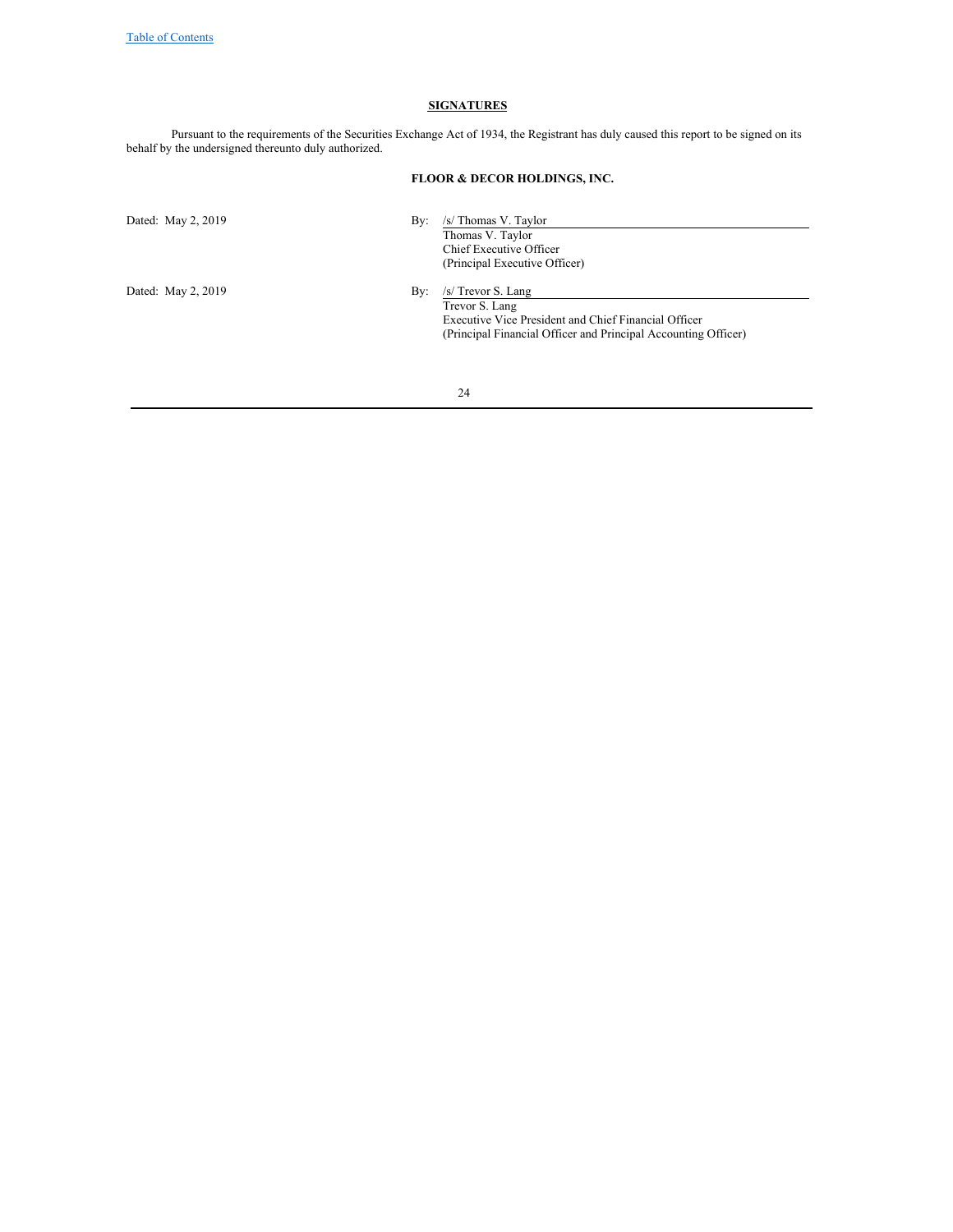#### **SIGNATURES**

Pursuant to the requirements of the Securities Exchange Act of 1934, the Registrant has duly caused this report to be signed on its behalf by the undersigned thereunto duly authorized.

## **FLOOR & DECOR HOLDINGS, INC.**

Dated: May 2, 2019 By: /s/ Thomas V. Taylor Thomas V. Taylor Chief Executive Officer (Principal Executive Officer) Dated: May 2, 2019 By: /s/ Trevor S. Lang Trevor S. Lang Executive Vice President and Chief Financial Officer (Principal Financial Officer and Principal Accounting Officer)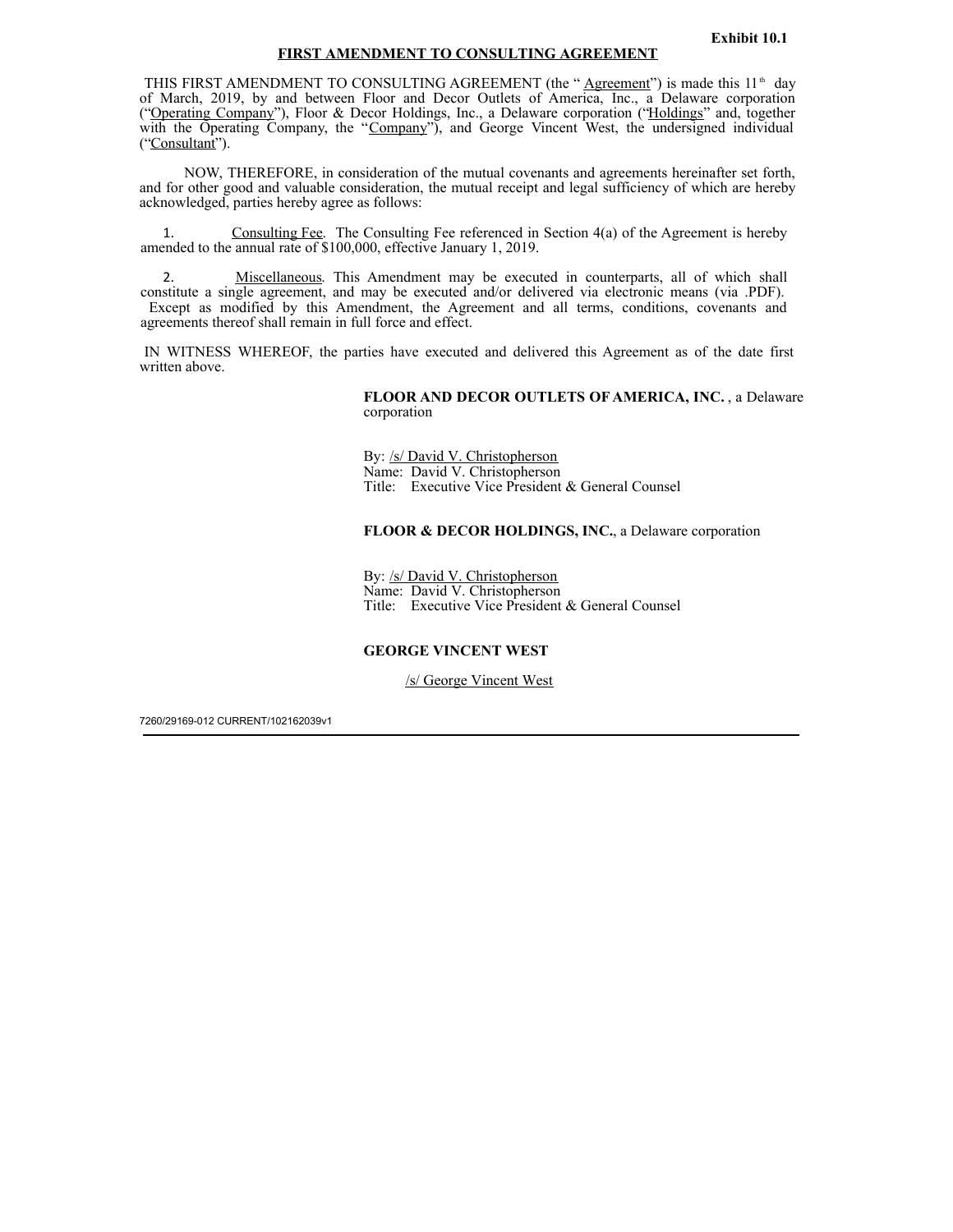## **Exhibit 10.1**

## **FIRST AMENDMENT TO CONSULTING AGREEMENT**

<span id="page-24-0"></span>THIS FIRST AMENDMENT TO CONSULTING AGREEMENT (the " $\triangle$ greement") is made this 11<sup>th</sup> day of March, 2019, by and between Floor and Decor Outlets of America, Inc., a Delaware corporation ("Operating Company"), Floor & Decor Holdings, Inc., a Delaware corporation ("Holdings" and, together with the Operating Company, the "Company"), and George Vincent West, the undersigned individual ("Consultant"). th

NOW, THEREFORE, in consideration of the mutual covenants and agreements hereinafter set forth, and for other good and valuable consideration, the mutual receipt and legal sufficiency of which are hereby acknowledged, parties hereby agree as follows:

Consulting Fee. The Consulting Fee referenced in Section  $4(a)$  of the Agreement is hereby amended to the annual rate of \$100,000, effective January 1, 2019.

2. Miscellaneous. This Amendment may be executed in counterparts, all of which shall constitute a single agreement, and may be executed and/or delivered via electronic means (via .PDF). Except as modified by this Amendment, the Agreement and all terms, conditions, covenants and agreements thereof shall remain in full force and effect.

IN WITNESS WHEREOF, the parties have executed and delivered this Agreement as of the date first written above.

> **FLOOR AND DECOR OUTLETS OF AMERICA, INC.** , a Delaware corporation

By: /s/ David V. Christopherson Name: David V. Christopherson Title: Executive Vice President & General Counsel

# **FLOOR & DECOR HOLDINGS, INC.**, a Delaware corporation

By: /s/ David V. Christopherson Name: David V. Christopherson Title: Executive Vice President & General Counsel

## **GEORGE VINCENT WEST**

/s/ George Vincent West

7260/29169-012 CURRENT/102162039v1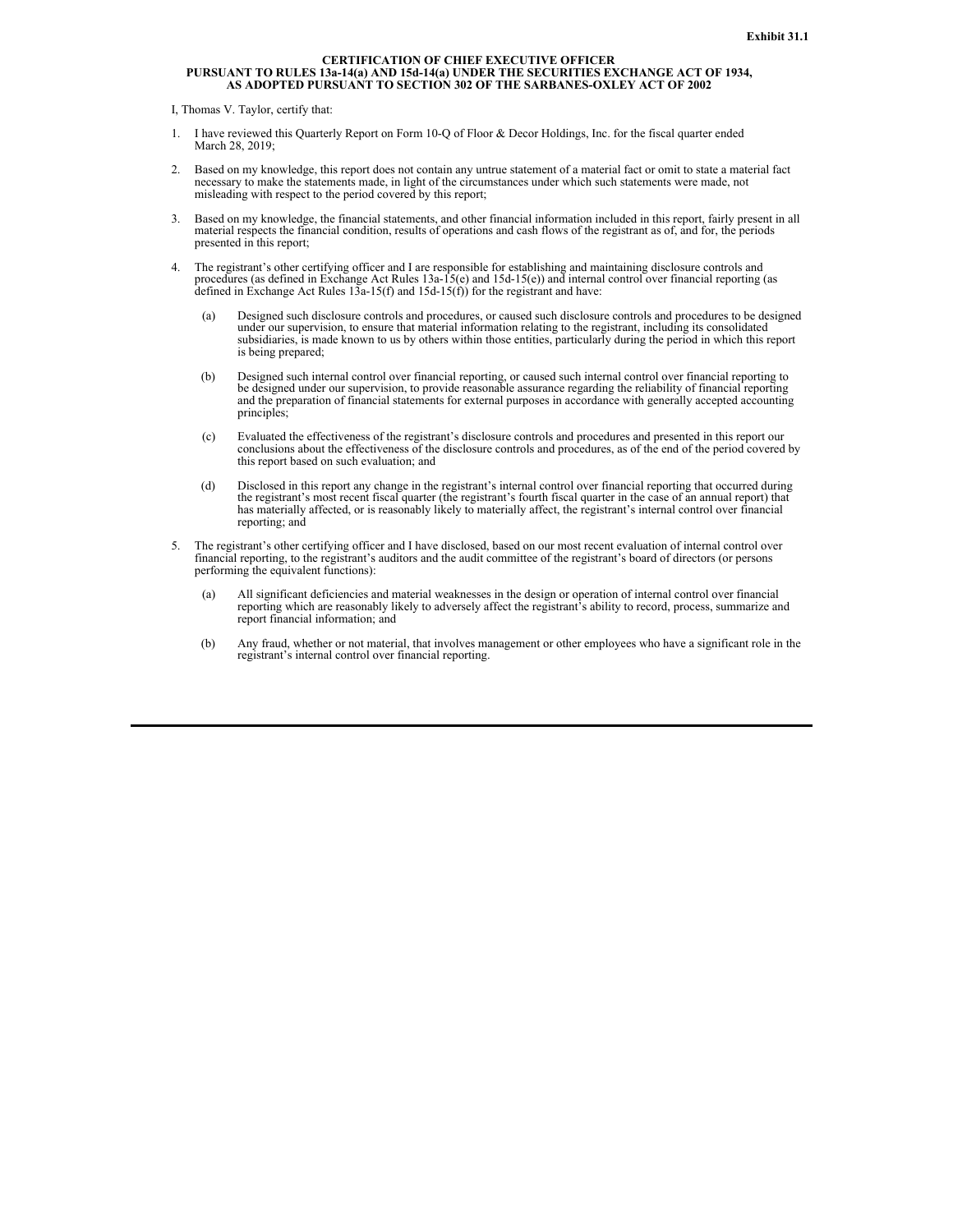# <span id="page-25-0"></span>**CERTIFICATION OF CHIEF EXECUTIVE OFFICER** PURSUANT TO RULES 13a-14(a) AND 15d-14(a) UNDER THE SECURITIES EXCHANGE ACT OF 1934,<br>AS ADOPTED PURSUANT TO SECTION 302 OF THE SARBANES-OXLEY ACT OF 2002

I, Thomas V. Taylor, certify that:

- 1. I have reviewed this Quarterly Report on Form 10-Q of Floor & Decor Holdings, Inc. for the fiscal quarter ended March 28, 2019;
- 2. Based on my knowledge, this report does not contain any untrue statement of a material fact or omit to state a material fact necessary to make the statements made, in light of the circumstances under which such statements were made, not misleading with respect to the period covered by this report;
- 3. Based on my knowledge, the financial statements, and other financial information included in this report, fairly present in all material respects the financial condition, results of operations and cash flows of the registrant as of, and for, the periods presented in this report;
- 4. The registrant's other certifying officer and I are responsible for establishing and maintaining disclosure controls and procedures (as defined in Exchange Act Rules 13a-15(e) and 15d-15(e)) and internal control over financial reporting (as defined in Exchange Act Rules 13a-15(f) and 15d-15(f)) for the registrant and have:
	- (a) Designed such disclosure controls and procedures, or caused such disclosure controls and procedures to be designed under our supervision, to ensure that material information relating to the registrant, including its consolidated subsidiaries, is made known to us by others within those entities, particularly during the period in which this report is being prepared;
	- (b) Designed such internal control over financial reporting, or caused such internal control over financial reporting to be designed under our supervision, to provide reasonable assurance regarding the reliability of finan and the preparation of financial statements for external purposes in accordance with generally accepted accounting principles;
	- (c) Evaluated the effectiveness of the registrant's disclosure controls and procedures and presented in this report our conclusions about the effectiveness of the disclosure controls and procedures, as of the end of the pe this report based on such evaluation; and
	- (d) Disclosed in this report any change in the registrant's internal control over financial reporting that occurred during the registrant's most recent fiscal quarter (the registrant's fourth fiscal quarter in the case of has materially affected, or is reasonably likely to materially affect, the registrant's internal control over financial reporting; and
- 5. The registrant's other certifying officer and I have disclosed, based on our most recent evaluation of internal control over financial reporting, to the registrant's auditors and the audit committee of the registrant's board of directors (or persons performing the equivalent functions):
	- (a) All significant deficiencies and material weaknesses in the design or operation of internal control over financial reporting which are reasonably likely to adversely affect the registrant's ability to record, process, summarize and report financial information; and
	- (b) Any fraud, whether or not material, that involves management or other employees who have a significant role in the registrant's internal control over financial reporting.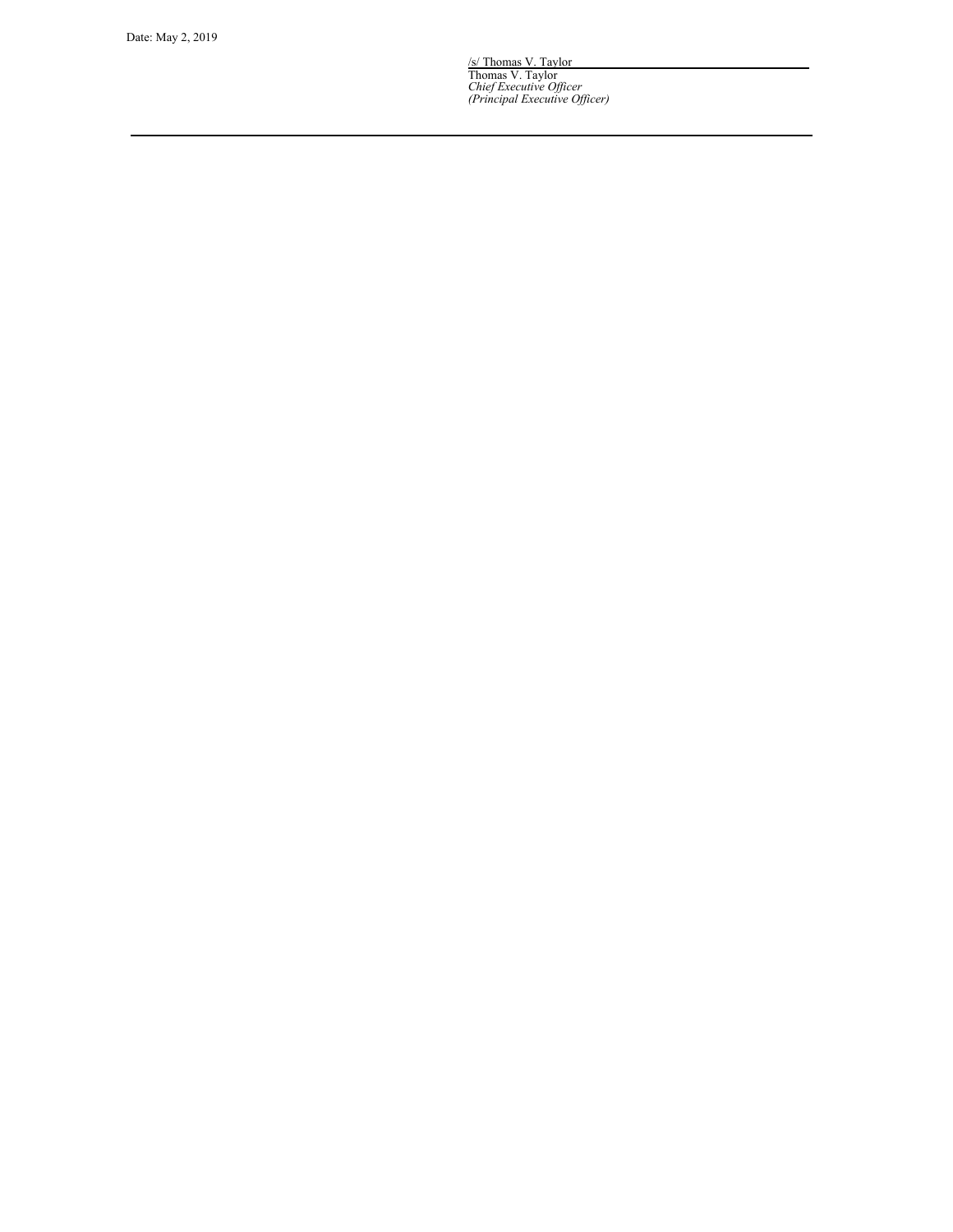/s/ Thomas V. Taylor Thomas V. Taylor<br>*Chief Executive Officer*<br>(Principal Executive Officer)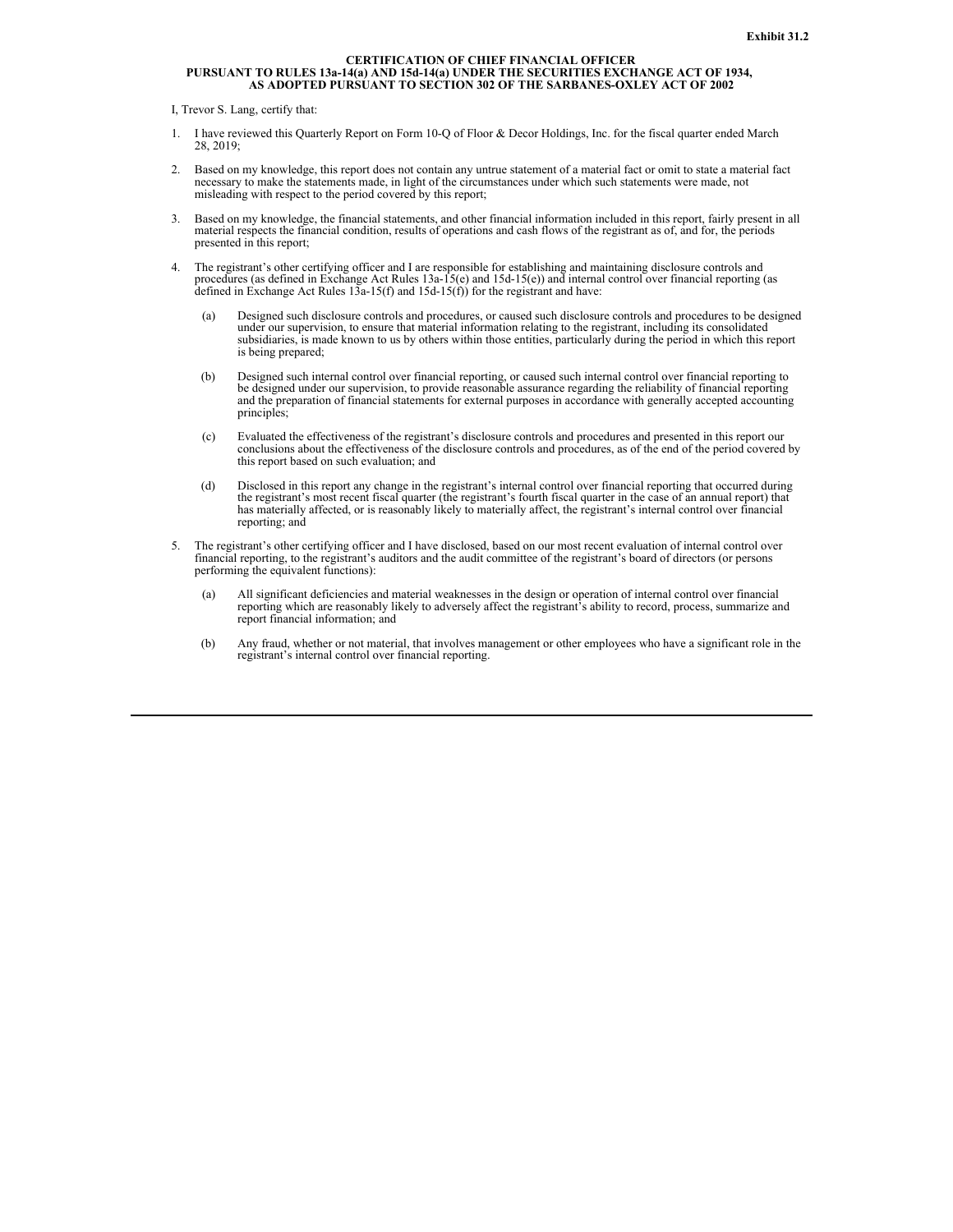# <span id="page-27-0"></span>**CERTIFICATION OF CHIEF FINANCIAL OFFICER** PURSUANT TO RULES 13a-14(a) AND 15d-14(a) UNDER THE SECURITIES EXCHANGE ACT OF 1934,<br>AS ADOPTED PURSUANT TO SECTION 302 OF THE SARBANES-OXLEY ACT OF 2002

I, Trevor S. Lang, certify that:

- 1. I have reviewed this Quarterly Report on Form 10-Q of Floor & Decor Holdings, Inc. for the fiscal quarter ended March 28, 2019;
- 2. Based on my knowledge, this report does not contain any untrue statement of a material fact or omit to state a material fact necessary to make the statements made, in light of the circumstances under which such statements were made, not misleading with respect to the period covered by this report;
- 3. Based on my knowledge, the financial statements, and other financial information included in this report, fairly present in all material respects the financial condition, results of operations and cash flows of the registrant as of, and for, the periods presented in this report;
- 4. The registrant's other certifying officer and I are responsible for establishing and maintaining disclosure controls and procedures (as defined in Exchange Act Rules 13a-15(e) and 15d-15(e)) and internal control over financial reporting (as defined in Exchange Act Rules 13a-15(f) and 15d-15(f)) for the registrant and have:
	- (a) Designed such disclosure controls and procedures, or caused such disclosure controls and procedures to be designed under our supervision, to ensure that material information relating to the registrant, including its consolidated subsidiaries, is made known to us by others within those entities, particularly during the period in which this report is being prepared;
	- (b) Designed such internal control over financial reporting, or caused such internal control over financial reporting to be designed under our supervision, to provide reasonable assurance regarding the reliability of finan and the preparation of financial statements for external purposes in accordance with generally accepted accounting principles;
	- (c) Evaluated the effectiveness of the registrant's disclosure controls and procedures and presented in this report our conclusions about the effectiveness of the disclosure controls and procedures, as of the end of the pe this report based on such evaluation; and
	- (d) Disclosed in this report any change in the registrant's internal control over financial reporting that occurred during the registrant's most recent fiscal quarter (the registrant's fourth fiscal quarter in the case of has materially affected, or is reasonably likely to materially affect, the registrant's internal control over financial reporting; and
- 5. The registrant's other certifying officer and I have disclosed, based on our most recent evaluation of internal control over financial reporting, to the registrant's auditors and the audit committee of the registrant's board of directors (or persons performing the equivalent functions):
	- (a) All significant deficiencies and material weaknesses in the design or operation of internal control over financial reporting which are reasonably likely to adversely affect the registrant's ability to record, process, summarize and report financial information; and
	- (b) Any fraud, whether or not material, that involves management or other employees who have a significant role in the registrant's internal control over financial reporting.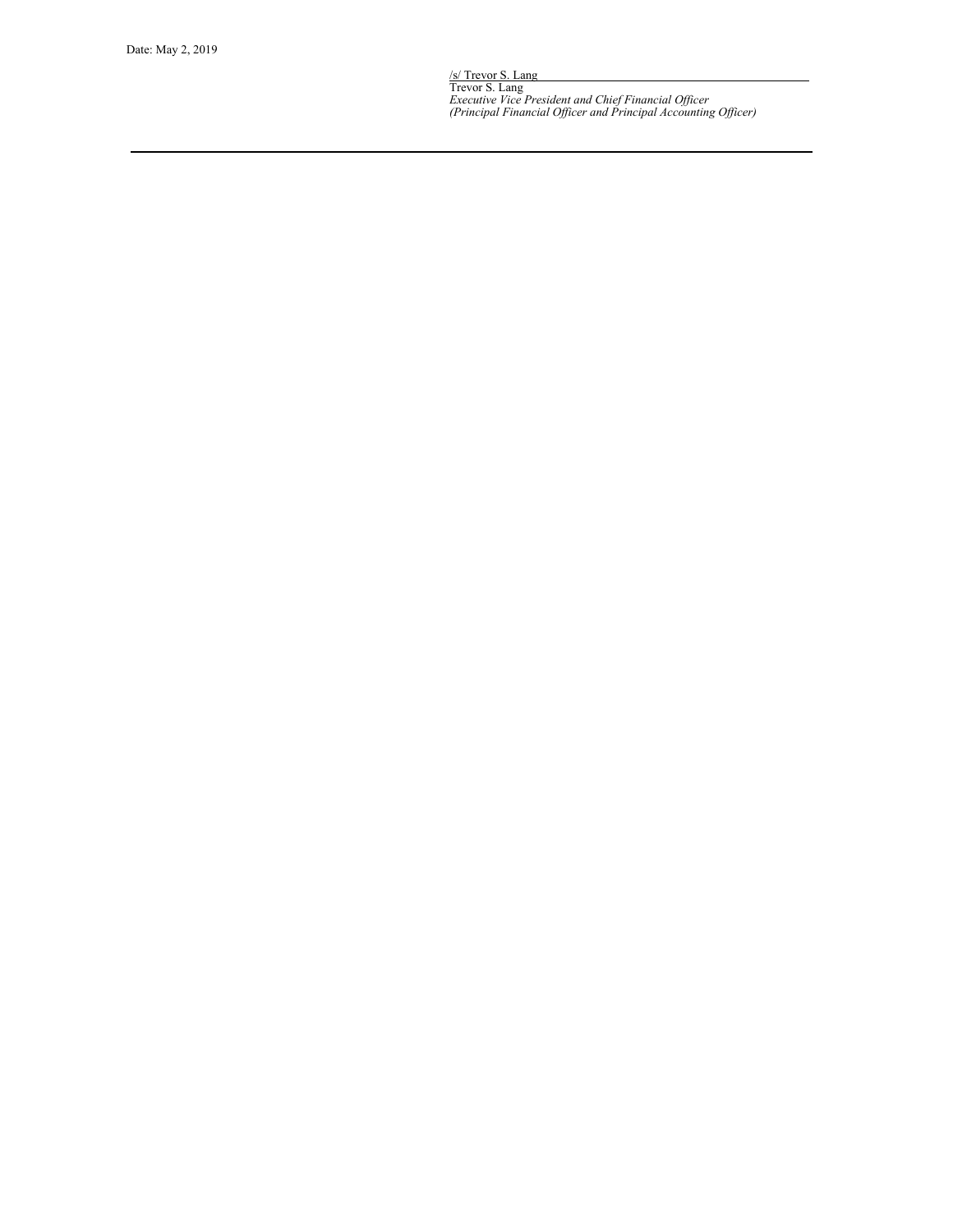/s/ Trevor S. Lang Trevor S. Lang<br>Executive Vice President and Chief Financial Officer<br>(Principal Financial Officer and Principal Accounting Officer)